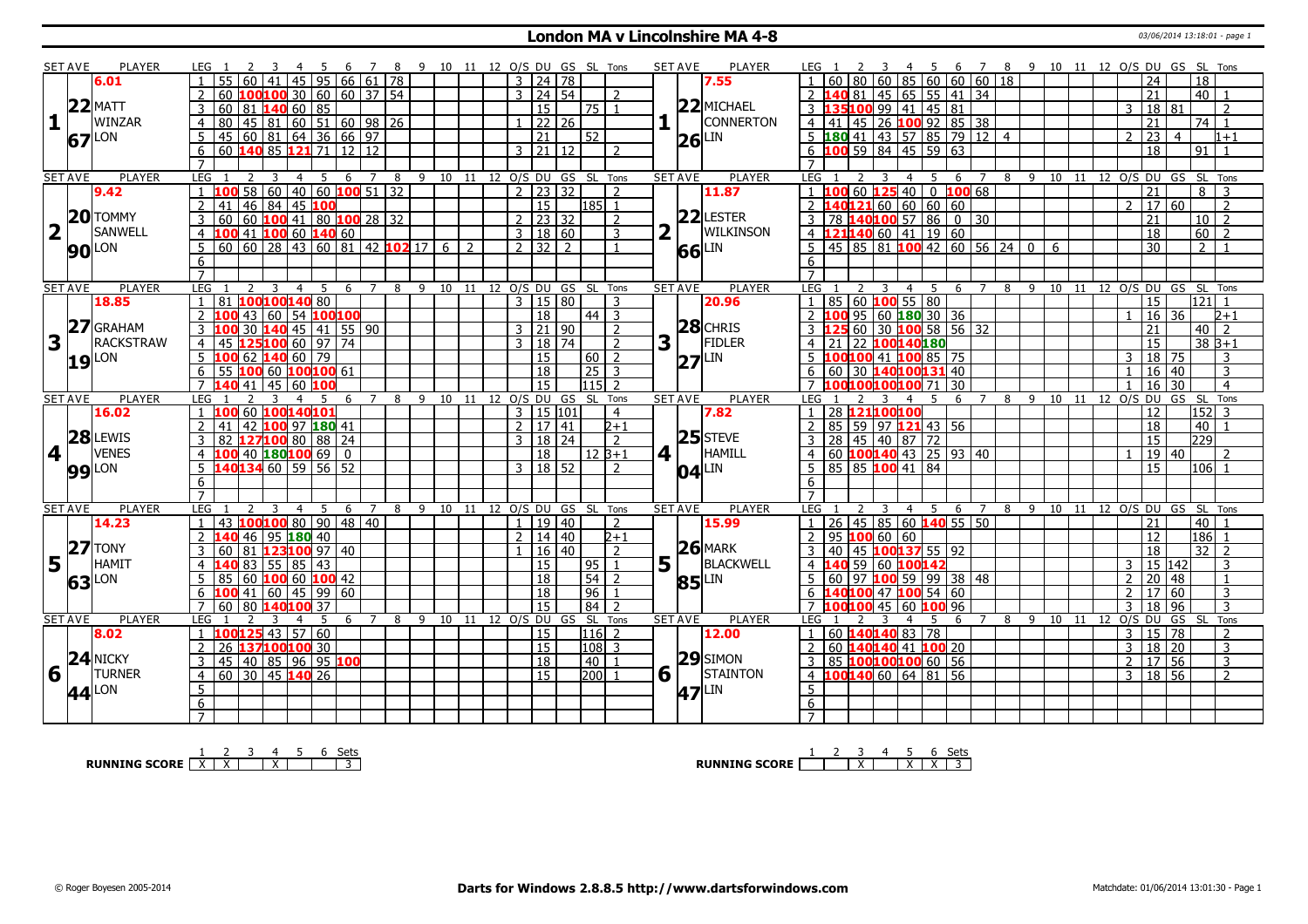#### **London MA v Lincolnshire MA 4-8** 03/06/2014 13:18:01 - page 1

|                         | <b>SET AVE</b> | <b>PLAYER</b>     | LEG 1<br>$\overline{4}$<br>-5                                                                                          |                     | 78             | 9 10 11 12 O/S DU GS SL Tons   |               |                              |         |                 |                          | <b>SET AVE</b>                 | <b>PLAYER</b>          | 6 7 8 9 10 11 12 O/S DU GS SL Tons<br>45<br>LEG 1                                                                                              |  |
|-------------------------|----------------|-------------------|------------------------------------------------------------------------------------------------------------------------|---------------------|----------------|--------------------------------|---------------|------------------------------|---------|-----------------|--------------------------|--------------------------------|------------------------|------------------------------------------------------------------------------------------------------------------------------------------------|--|
|                         |                | 6.01              | 45<br>95 I                                                                                                             | 66   61   78        |                |                                |               | 3 24 78                      |         |                 |                          |                                | 7.55                   | 85 60 60 60 18<br>60<br>24<br>18                                                                                                               |  |
|                         |                |                   | 100100 30 60 60 37 54<br>60                                                                                            |                     |                |                                |               | 3   24   54                  |         |                 | $\overline{\phantom{a}}$ |                                |                        | 45 65 55 41 34<br>21<br>$40$   1<br>81                                                                                                         |  |
|                         |                | $22$ MATT         | 1406085<br>3<br>60<br>81                                                                                               |                     |                |                                |               | <sup>15</sup>                |         | 75 1            |                          |                                | $22$ MICHAEL           | 35100 99 41<br>$145 \ 81$<br>18 <sup>1</sup><br>81<br>$\overline{z}$<br>3                                                                      |  |
| $\mathbf{1}$            |                | WINZAR            | 45 81 60 51 60 98 26<br>$\overline{4}$<br>80                                                                           |                     |                |                                |               | $1 \mid 22 \mid 26$          |         |                 |                          |                                | CONNERTON              | $\frac{145}{26}$ 100 92 85 38<br>$74$ 1<br>4 41<br>21                                                                                          |  |
|                         |                |                   | 60 81 64 36 66 97<br>$\overline{45}$<br>5                                                                              |                     |                |                                |               | $\overline{21}$              |         | $\overline{52}$ |                          |                                |                        | $5$ <b>180</b> 41 43 57 85 79 12 4<br>$\overline{23}$<br>$\mathcal{P}$<br>$\overline{4}$<br>$1 + 1$                                            |  |
|                         |                | 67 LON            | 60 140 85 121 71 12 12                                                                                                 |                     |                |                                |               | $3 \mid 21 \mid 12$          |         |                 | $\overline{2}$           |                                | LIN<br>26              | $6$ 100 59 84 45 59 63<br>$\overline{18}$<br>$91$ 1                                                                                            |  |
|                         |                |                   | 6<br>$\overline{7}$                                                                                                    |                     |                |                                |               |                              |         |                 |                          |                                |                        | $\overline{7}$                                                                                                                                 |  |
|                         |                |                   |                                                                                                                        |                     |                |                                |               |                              |         |                 |                          |                                |                        |                                                                                                                                                |  |
|                         | <b>SET AVE</b> | <b>PLAYER</b>     | LEG<br>5<br>$\overline{3}$<br>$\overline{4}$<br>$\overline{1}$<br>$58   60   40   60$ 100 51 32<br>$\mathbf{1}$<br>100 | 6 7                 | 8 <sup>8</sup> | 9 10 11 12 O/S DU GS SL Tons   |               | $2 \mid 23 \mid 32$          |         |                 | $\overline{z}$           | <b>SET AVE</b>                 | <b>PLAYER</b><br>11.87 | LEG <sub>1</sub><br>8 9 10 11 12 O/S DU GS SL Tons<br>$\overline{\mathbf{3}}$<br>4 5<br>6 7<br>$\overline{21}$<br>8<br>$\overline{3}$<br>1,100 |  |
|                         |                | 9.42              |                                                                                                                        |                     |                |                                |               |                              |         |                 |                          |                                |                        | 60 $125$ 40 0 100 68                                                                                                                           |  |
|                         |                | $20$ TOMMY        | 46 84 45 100<br>$\overline{2}$<br>41                                                                                   |                     |                |                                |               | 15                           |         | $ 185 $ 1       |                          |                                | $22$ LESTER            | 40121 60 60 60 60<br>2  17 <br>60<br>$\overline{2}$<br>2 <sub>1</sub>                                                                          |  |
|                         |                |                   | 60<br>$100$ 41 80 $100$ 28 32<br>3<br>60                                                                               |                     |                |                                |               | 2                            | 23 32   |                 | $\overline{2}$           |                                |                        | 78 140100 57 86 0 30<br>21<br>10 <sup>1</sup><br>$\overline{2}$                                                                                |  |
| $\overline{\mathbf{2}}$ |                | <b>SANWELL</b>    | 41 100 60 140 60<br>100<br>4                                                                                           |                     |                |                                |               | 3   18   60                  |         |                 | 3                        |                                | <b>WILKINSON</b>       | $21140$ 60 41 19 60<br>18<br>60 <sup>1</sup><br>41<br>- 2                                                                                      |  |
|                         |                | <b>90</b> LON     | $60   60   28   43   60   81   42   102   17   6$<br>5                                                                 |                     |                |                                | $\mathcal{L}$ | 2 32 2                       |         |                 |                          |                                | LIN<br>66              | 45 85 81 100 42 60 56 24 0<br>$\overline{30}$<br>$\overline{2}$<br>.5.<br>$\overline{1}$<br>6                                                  |  |
|                         |                |                   | 6                                                                                                                      |                     |                |                                |               |                              |         |                 |                          |                                |                        | 6                                                                                                                                              |  |
|                         |                |                   | $\overline{7}$                                                                                                         |                     |                |                                |               |                              |         |                 |                          |                                |                        | $\overline{7}$                                                                                                                                 |  |
|                         | <b>SET AVE</b> | <b>PLAYER</b>     | LEG<br>5                                                                                                               | -6<br>7             | 8              | 9                              |               | 10 11 12 O/S DU GS SL Tons   |         |                 |                          | <b>SET AVE</b>                 | <b>PLAYER</b>          | LEG <sub>1</sub><br>8<br>9<br>10<br>11<br>12 O/S DU GS SL Tons<br>-5<br>6<br>$\overline{7}$<br>4                                               |  |
|                         |                | 18.85             | 100100140 80<br>$\mathbf{1}$<br>81                                                                                     |                     |                |                                |               | 3   15   80                  |         |                 | $\mathbf{R}$             |                                | 20.96                  | 85   60   100   55   80<br>$\overline{15}$<br>$121$ 1<br>$\mathbf{1}$                                                                          |  |
|                         |                |                   | 54 100 100<br>$\overline{2}$<br>43<br>l 60                                                                             |                     |                |                                |               | $\overline{18}$              |         | $44$ 3          |                          |                                |                        | 95 60 180 30 36<br>16<br>36<br>$2 \, 100$<br>$2 + 1$                                                                                           |  |
|                         | 27             | <b>GRAHAM</b>     | $140$ 45 41 55 90<br>3<br>30<br>100                                                                                    |                     |                |                                |               | $3 \mid 21 \mid 90$          |         |                 | $\overline{2}$           |                                | $28$ CHRIS             | 60 30 100 58 56 32<br>$40$   2<br>3 H<br>21                                                                                                    |  |
| 3                       |                | <b>RACKSTRAW</b>  | 10060<br>$\overline{4}$<br>45                                                                                          | $97 \mid 74$        |                |                                |               | $\mathcal{R}$                | $18$ 74 |                 | $\overline{2}$           | 3                              | <b>FIDLER</b>          | 22 100140180<br>$38B+1$<br>15<br>$\overline{4}$<br>21                                                                                          |  |
|                         |                | $19$ $\text{LON}$ | 5 <sup>1</sup><br>62 <b>140</b> 60<br>79<br>100                                                                        |                     |                |                                |               | <sup>15</sup>                |         | 60 2            |                          |                                | LIN<br> 27             | 100100 41 100 85 75<br>$18$ 75<br>3<br>3                                                                                                       |  |
|                         |                |                   | 6<br>55<br>100 60 100100 61                                                                                            |                     |                |                                |               | $\overline{18}$              |         | 25              | 3                        |                                |                        | $\overline{3}$<br>30 140100131 40<br>16<br>40<br>60                                                                                            |  |
|                         |                |                   | 45<br>$\overline{7}$<br>41<br>60                                                                                       |                     |                |                                |               | 15                           |         | $115$ 2         |                          |                                |                        | $\overline{4}$<br>30<br>16<br>30                                                                                                               |  |
|                         | <b>SET AVE</b> | <b>PLAYER</b>     | LEG<br>4<br>5                                                                                                          | 6                   | 8              | 9<br>10                        | 11            | 12 0/S DU                    | GS      | - SL            | Tons                     | <b>SET AVE</b>                 | <b>PLAYER</b>          | 8<br>10<br>12 0/S DU<br>GS SL<br>Tons<br>LEG<br>9<br>- 11<br>4<br>5<br>6                                                                       |  |
|                         |                | 16.02             | 60<br>חחו<br>100140101                                                                                                 |                     |                |                                |               | $\overline{3}$               | 15 101  |                 | $\overline{4}$           |                                | 7.82                   | 28 121100100<br>152<br>12                                                                                                                      |  |
|                         |                |                   | $\overline{2}$<br>42 100 97 180 41<br>41                                                                               |                     |                |                                |               | 2 17 41                      |         |                 | $\sqrt{2+1}$             |                                |                        | 85 59 97 121 43 56<br>18<br>40<br>$\overline{1}$                                                                                               |  |
|                         |                | 28 LEWIS          | 127100 80<br>$\overline{3}$<br>82                                                                                      | 88 24               |                |                                |               | 3                            | 18   24 |                 | $\overline{2}$           |                                | $25$ STEVE             | 45 40 87 72<br> 229 <br>28<br>15                                                                                                               |  |
| 4                       |                | <b>VENES</b>      | $40$ 180 100 69 0<br>$\overline{4}$                                                                                    |                     |                |                                |               | 18                           |         | l 12 B+1        |                          | $4$   $\overline{\phantom{0}}$ | HAMILL                 | $\vert$ 60 <b>100140</b> 43 25 93 40<br>19 40<br>$\mathcal{L}$<br>$\overline{4}$                                                               |  |
|                         |                | <b>99</b> LON     | 40134 60 59<br>5                                                                                                       | 56 52               |                |                                |               |                              |         |                 | $\overline{2}$           |                                |                        |                                                                                                                                                |  |
|                         |                |                   | 6                                                                                                                      |                     |                |                                |               | 3   18   52                  |         |                 |                          |                                |                        | 85 85 100 41 84<br>15<br>106 1<br>5                                                                                                            |  |
|                         |                |                   |                                                                                                                        |                     |                |                                |               |                              |         |                 |                          |                                | LIN<br> 04             | 6                                                                                                                                              |  |
| <b>SET AVE</b>          |                |                   | $\overline{7}$                                                                                                         |                     |                |                                |               |                              |         |                 |                          |                                |                        | $\overline{7}$                                                                                                                                 |  |
|                         |                | <b>PLAYER</b>     | <b>LEG</b><br>3<br>5<br>$\overline{4}$                                                                                 | 6<br>$\overline{7}$ |                | 8 9 10 11 12 0/S DU GS SL Tons |               |                              |         |                 |                          | <b>SET AVE</b>                 | <b>PLAYER</b>          | LEG 1<br>5<br>8 9 10 11 12 O/S DU GS SL Tons<br>3<br>$\overline{4}$<br>6<br>$\overline{7}$                                                     |  |
|                         |                | 14.23             | 100100 80<br>43<br>$\mathbf{1}$                                                                                        | 90   48   40        |                |                                |               | 1   19   40                  |         |                 | 2                        |                                | 15.99                  | $40$   1<br>21                                                                                                                                 |  |
|                         |                |                   | $\overline{2}$<br>  95 <b>180</b> 40<br>46                                                                             |                     |                |                                |               |                              |         |                 | $2 + 1$                  |                                |                        | $1 \mid 26 \mid 45 \mid 85 \mid 60$ 140 55 50<br>2<br>12<br>$\overline{\phantom{0}}$                                                           |  |
|                         |                | $27$ TONY         | 3<br>60<br>  81<br>123100 97   40                                                                                      |                     |                |                                |               | 2   14   40                  | 16   40 |                 | $\overline{2}$           |                                | $26$ MARK              | 186<br>95 $100$ 60 60<br>$\overline{18}$<br>3<br>40                                                                                            |  |
|                         |                | HAMIT             | 83                                                                                                                     |                     |                |                                |               |                              |         |                 |                          |                                |                        | $32$   2<br>45 100137 55 92                                                                                                                    |  |
| 5                       |                |                   | 55   85  <br>43<br>$\overline{4}$                                                                                      |                     |                |                                |               | 15                           |         | 95              | 1                        | 5 <sub>1</sub>                 | BLACKWELL              | 15 142<br>59<br>60 100142<br>3<br>3                                                                                                            |  |
|                         | 63             | <b>LON</b>        | 5<br>$100$ 60 $100$ 42<br>l 60<br>85                                                                                   |                     |                |                                |               | <sup>18</sup>                |         | $\overline{54}$ | 2                        |                                | LIN<br>85              | $\boxed{97}$ 100 59 99 38 48<br>$\overline{1}$<br>.5<br>$\overline{2}$<br>20<br>48<br>60                                                       |  |
|                         |                |                   | 41   60   45<br>6<br>100                                                                                               | 99 60               |                |                                |               | <b>18</b>                    |         | 96              | $\overline{1}$           |                                |                        | 40100 47 100 54 60<br>$\overline{3}$<br>$\mathcal{P}$<br>17<br>60                                                                              |  |
|                         |                |                   | $\overline{7}$<br>60<br>80<br>37<br>140100<br>3                                                                        |                     |                |                                |               | $\overline{15}$              |         | $\sqrt{84}$ 2   |                          |                                |                        | 60 100 96<br>$\overline{3}$<br><b>7 100100</b><br>18<br>96<br>45<br>3<br>$\overline{\mathbf{4}}$                                               |  |
|                         | <b>SET AVE</b> | <b>PLAYER</b>     | LEG<br>5<br>$\overline{4}$                                                                                             | 6 7                 | 8              |                                |               | 9 10 11 12 O/S DU GS SL Tons |         |                 |                          | <b>SET AVE</b>                 | <b>PLAYER</b>          | LEG 1<br>8<br>9 10 11 12<br>O/S DU<br>GS SL<br>Tons<br>.5<br>6<br>$\overline{7}$                                                               |  |
|                         |                | 8.02              | 100125 43 57<br>60<br>$\mathbf{1}$                                                                                     |                     |                |                                |               | $\overline{15}$              |         | 116 2           |                          |                                | 12.00                  | 60 140140 83<br>$\overline{78}$<br>$15 \overline{78}$<br>$\overline{3}$<br>$\overline{2}$                                                      |  |
|                         |                |                   | 137100100 30<br>$\overline{2}$<br>26                                                                                   |                     |                |                                |               | $\overline{15}$              |         | 108 3           |                          |                                |                        | 60 140140 41 100 20<br>$\overline{3}$<br>$\overline{18}$<br>$\overline{20}$<br>$\overline{3}$<br>2                                             |  |
|                         |                | 24 NICKY          | 45 40 85 96 95 100<br>3                                                                                                |                     |                |                                |               | 18                           |         | $40$   1        |                          |                                | $29$ SIMON             | $\overline{3}$<br>85 100100100 60 56<br>$\overline{2}$   17<br>56<br>3                                                                         |  |
| 6                       |                | <b>TURNER</b>     | $60$ 30 45 140 26<br>$\overline{4}$                                                                                    |                     |                |                                |               | 15                           |         | $200$ 1         |                          | $6\sqrt{ }$                    | <b>STAINTON</b>        | 4 100140 60 64 81 56<br>18 56<br>$\overline{2}$<br>$\overline{3}$                                                                              |  |
|                         |                | 44 LON            | 5                                                                                                                      |                     |                |                                |               |                              |         |                 |                          |                                | LIN<br>47              | 5                                                                                                                                              |  |
|                         |                |                   | 6<br>$\overline{7}$                                                                                                    |                     |                |                                |               |                              |         |                 |                          |                                |                        | $6\overline{6}$                                                                                                                                |  |

**RUNNING SCORE**  $\begin{array}{|c|c|c|c|c|}\n\hline\n\textbf{1} & \textbf{2} & \textbf{3} & \textbf{4} & \textbf{5} & \textbf{6} & \textbf{Sets} \\
\hline\n\textbf{5} & \textbf{5} & \textbf{6} & \textbf{7} & \textbf{8} & \textbf{8} & \textbf{1} \\
\hline\n\textbf{6} & \textbf{7} & \textbf{8} & \textbf{9} & \textbf{1} & \textbf{1} & \textbf{1} & \textbf{1} \\
\hline\n\textbf{7} & \textbf{8} & \textbf$ 

**RUNNING SCORE** 1 2 3 X 4 5 X 6 X Sets 3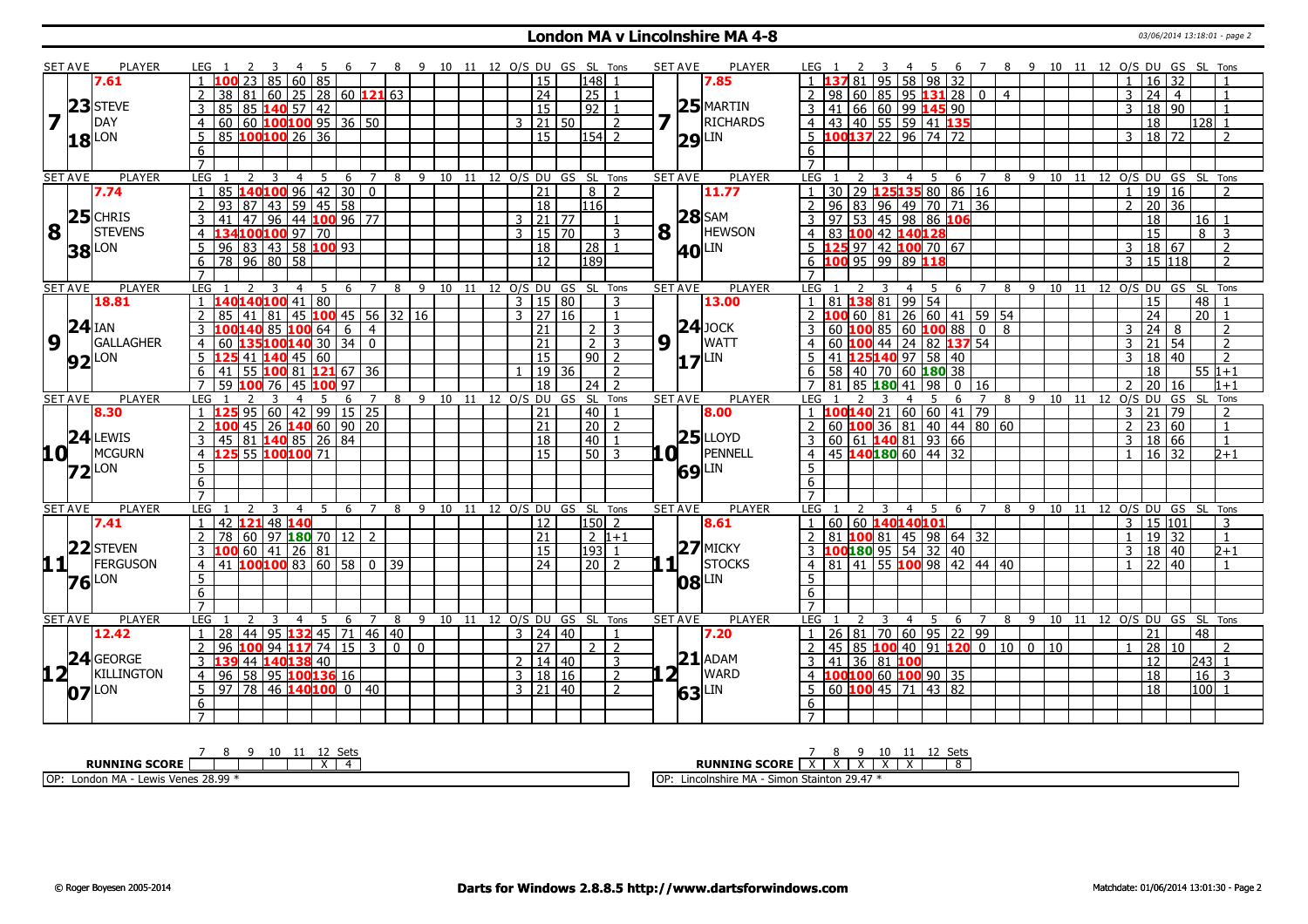#### **London MA v Lincolnshire MA 4-8** 03/06/2014 13:18:01 - page 2

| <b>SET AVE</b>  | <b>PLAYER</b>                            | LEG 1<br>-3<br>-4                                                                       | - 5               |                                  |                    |                 |                |                     | 6 7 8 9 10 11 12 O/S DU GS SL Tons | <b>SET AVE</b><br><b>PLAYER</b> | 6 7 8 9 10 11 12 O/S DU GS SL Tons<br>LEG 1<br>- 45                                                                 |
|-----------------|------------------------------------------|-----------------------------------------------------------------------------------------|-------------------|----------------------------------|--------------------|-----------------|----------------|---------------------|------------------------------------|---------------------------------|---------------------------------------------------------------------------------------------------------------------|
|                 | 7.61                                     | 85   60   85<br>100 23                                                                  |                   |                                  |                    |                 |                | 15                  | 148                                | 7.85                            | 95<br>58 98 32<br>81<br>$16 \mid 32$<br>$\overline{1}$                                                              |
|                 |                                          | 38 81 60 25 28 60 121 63                                                                |                   |                                  |                    |                 |                | $\overline{24}$     | 25                                 |                                 | 98   60   85   95   131   28   0<br>24<br>3<br>$\overline{4}$<br>$\overline{4}$                                     |
|                 | 23 STEVE                                 | 85 85 140 57 42                                                                         |                   |                                  |                    |                 |                | $\overline{15}$     | 92                                 | $25$ MARTIN                     | 41 66 60 99 145 90<br>18 90<br>3                                                                                    |
|                 | DAY                                      | 60   60   100   100   95   36   50<br>$\overline{4}$                                    |                   |                                  |                    |                 | $\overline{3}$ | $21 \, 50$          | 2                                  | <b>RICHARDS</b>                 | 4 43 40 55 59 41 135<br>18<br>l128l 1                                                                               |
|                 | LON<br><b>18</b>                         | 85 100100 26 36<br>5                                                                    |                   |                                  |                    |                 |                | $\overline{15}$     | $154$ 2                            | $29$ <sup>LIN</sup>             | $5$ 100137 22 96 74 72<br>$18 \mid 72$<br>3<br>$\mathcal{P}$                                                        |
|                 |                                          | 6                                                                                       |                   |                                  |                    |                 |                |                     |                                    |                                 | 6                                                                                                                   |
|                 |                                          | $\overline{7}$                                                                          |                   |                                  |                    |                 |                |                     |                                    |                                 | $\overline{7}$                                                                                                      |
| <b>SET AVE</b>  | <b>PLAYER</b>                            | LEG<br>2<br>3<br>4                                                                      | -5<br>6           | 8 9<br>7                         |                    | 10 11           |                |                     | 12 O/S DU GS SL Tons               | <b>PLAYER</b><br><b>SET AVE</b> | <b>LEG</b><br>8 9 10 11<br>12 O/S DU GS SL Tons<br>4<br>5<br>6                                                      |
|                 | 7.74                                     | 85   <b>140   100</b>   96   42   30<br>  93   87   43   59   45   58<br>$\overline{1}$ |                   | $\boxed{0}$                      |                    |                 |                | $\overline{21}$     | 8<br>$\overline{2}$                | 11.77                           | 30 29 125135 80 86 16<br>19 16<br>$\mathbf{1}$<br>$\overline{1}$<br>$\overline{z}$                                  |
|                 |                                          | 2                                                                                       |                   |                                  |                    |                 |                | $\overline{18}$     | 116                                |                                 | 20 36<br>$\overline{2}$<br>96 83 96 49 70 71 36<br>$\overline{2}$                                                   |
|                 | $\mathbf{8}$ 25 CHRIS                    | 96 44 100 96 77<br>$\sqrt{47}$<br>3<br>  41                                             |                   |                                  |                    |                 |                | $3 \mid 21 \mid 77$ |                                    | $28$ SAM                        | 97 53 45 98 86 106<br>18<br>3<br>16                                                                                 |
|                 | <b>STEVENS</b>                           | 134100100 97 70<br>$\overline{4}$                                                       |                   |                                  |                    |                 |                | $3 \mid 15 \mid 70$ | 3                                  | 8<br><b>HEWSON</b>              | 4 83 100 42 140128<br>$\overline{15}$<br>$8 \mid 3$                                                                 |
|                 | LON<br>38                                | 96 83 43 58 100 93<br>5                                                                 |                   |                                  |                    |                 |                | 18                  | 28                                 | <b>40 LIN</b>                   | $5$ 125 97 42 100 70 67<br>18 67<br>2<br>3                                                                          |
|                 |                                          | 78 96 80 58<br>6                                                                        |                   |                                  |                    |                 |                | 12                  | 189                                |                                 | 6 100 95 99 89 118<br>$3 \mid 15 \mid 118$<br>$\overline{2}$                                                        |
|                 |                                          |                                                                                         |                   |                                  |                    |                 |                |                     |                                    |                                 |                                                                                                                     |
| <b>SET AVE</b>  | <b>PLAYER</b>                            | LEG <sub>1</sub><br>$\overline{3}$<br>2<br>$\overline{4}$                               | 5<br>6            | $\overline{7}$<br>8              |                    |                 |                |                     | 9 10 11 12 0/S DU GS SL Tons       | <b>SET AVE</b><br><b>PLAYER</b> | 8 9 10 11 12 0/S DU GS SL Tons<br>LEG 1<br>5<br>$\overline{7}$<br>2<br>$\overline{4}$<br>6                          |
|                 | 18.81                                    | $140140100$ 41 80                                                                       |                   |                                  |                    |                 |                | $3 \mid 15 \mid 80$ | 3                                  | 13.00                           | 81 138 81 99 54<br>15<br>$\overline{48}$                                                                            |
|                 |                                          | 45<br>85<br>  81<br>41                                                                  | $100$ 45 56 32 16 |                                  |                    |                 |                | $3 \mid 27 \mid 16$ |                                    |                                 | 26 60 41 59 54<br>24<br>20<br>LOO 60   81                                                                           |
|                 | $24$ IAN                                 | $100$ 140 85 100 64 6<br>3                                                              |                   | $\vert 4 \vert$                  |                    |                 |                | 21                  | 3<br>2 I                           | $24$ JOCK                       | $\boxed{24}$ 8<br>$\overline{3}$<br>3<br>$\mathcal{P}$                                                              |
| $9\sqrt{1}$     | <b>GALLAGHER</b>                         | 60 135100 140 30<br>$\overline{4}$                                                      | $\sqrt{34}$       | l o                              |                    |                 |                | $\overline{21}$     | $\overline{2}$<br>$\overline{3}$   | 9 <sub>1</sub><br><b>WATT</b>   | 60 100 44 24 82 137 54<br>21<br>54<br>3<br>$\overline{2}$                                                           |
|                 | <b>92</b> LON                            | $5\ \, 125\ 41\ 140\ 45\ 60$                                                            |                   |                                  |                    |                 |                | $\overline{15}$     | $90$   2                           | $17$ LIN                        | 41 125 140 97 58 40<br>$\overline{2}$<br>$\overline{5}$<br>18 40<br>$\mathcal{R}$                                   |
|                 |                                          | 55 100 81 121 67 36<br>6<br>41                                                          |                   |                                  |                    |                 |                | $19$ 36             | $\overline{z}$                     |                                 | $6$   58   40   70   60   180 38<br>18<br>$551+1$                                                                   |
|                 |                                          | 59 100 76<br>45<br>$\overline{7}$                                                       | 100 97            |                                  |                    |                 |                | 18                  | $24$   2                           |                                 | 81   85 <b>180</b> 41   98  <br>$\overline{20}$<br>$0 \mid 16$<br>$\overline{7}$<br>$\overline{2}$<br>16<br>$1 + 1$ |
| <b>SET AVE</b>  | <b>PLAYER</b>                            | <b>LEG</b><br>$\overline{4}$<br>3                                                       | 5<br>6            | $\overline{7}$<br>8              | $-9$<br>10         | $\overline{11}$ |                |                     | 12 O/S DU GS SL Tons               | <b>SET AVE</b><br><b>PLAYER</b> | 9 10 11 12 O/S DU<br>LEG<br>8<br>GS SL<br>Tons<br>- 5<br>6<br>$\overline{7}$                                        |
|                 |                                          |                                                                                         |                   |                                  |                    |                 |                |                     |                                    |                                 |                                                                                                                     |
|                 | 8.30                                     | $1 \overline{125}$ 95 60 42 99 15 25                                                    |                   |                                  |                    |                 |                | 21                  | 40                                 | 8.00                            | 1 100140 21 60 60 41 79<br> 21<br>  79<br>$\overline{3}$<br>$\overline{2}$                                          |
|                 |                                          | 26 <b>140</b> 60 90 20<br>100 45<br>$\overline{2}$                                      |                   |                                  |                    |                 |                | 21                  | 20<br>$\overline{2}$               |                                 | 60 $100$ 36 81 40 44 80 60<br>23 60<br>2<br>$\overline{1}$                                                          |
|                 | 24<br>LEWIS                              | 45 81 140 85 26 84<br>$\mathcal{E}$                                                     |                   |                                  |                    |                 |                | 18                  | 40<br>$\overline{1}$               | $25$ LLOYD                      | 3   60   61   140   81   93   66<br>18 66<br>$\mathcal{E}$<br>$\overline{1}$                                        |
| 10 <sup>1</sup> | MCGURN                                   | 125 55 100 100 71<br>$\overline{4}$                                                     |                   |                                  |                    |                 |                | 15                  | $50$ 3                             | PENNELL<br>.OI 1                | 45 <b>140180</b> 60 44 32<br>$16 \mid 32$<br>$\overline{4}$<br>$\overline{1}$<br>$2 + 1$                            |
|                 | LON<br>$\mathbf{72}$                     | 5                                                                                       |                   |                                  |                    |                 |                |                     |                                    |                                 | 5 <sup>2</sup>                                                                                                      |
|                 |                                          | 6                                                                                       |                   |                                  |                    |                 |                |                     |                                    | 69                              | 6                                                                                                                   |
|                 |                                          | $\overline{7}$                                                                          |                   |                                  |                    |                 |                |                     |                                    |                                 | $\overline{7}$                                                                                                      |
| <b>SET AVE</b>  | <b>PLAYER</b>                            | LEG<br>3<br>$\overline{4}$                                                              | 6                 | 8                                | $\mathsf{q}$<br>10 | 11              |                |                     | 12 O/S DU GS SL Tons               | <b>SET AVE</b><br><b>PLAYER</b> | <b>LEG</b><br>O/S DU GS SL Tons<br>$\overline{4}$<br>8<br>9<br>10 <sup>1</sup><br>11<br>12<br>5<br>6                |
|                 | 7.41                                     | 42 121 48 140<br>$\mathbf{1}$                                                           |                   |                                  |                    |                 |                | 12                  | 150 2                              | 8.61                            | 60 60 140140101<br>  15   101<br>3<br>3                                                                             |
|                 |                                          | 78 60 97 180 70 12 2<br>$\overline{2}$                                                  |                   |                                  |                    |                 |                | $\overline{21}$     | $2 1+1$                            |                                 | 81 100 81 45 98 64 32<br>19 32<br>$\mathcal{L}$<br>$\overline{1}$                                                   |
|                 |                                          |                                                                                         |                   |                                  |                    |                 |                | 15                  | 193 <br>$\overline{1}$             | $27$ MICKY                      | 3  100 180  95  54  32  40<br>18   40<br>3<br>$2 + 1$                                                               |
|                 | <b>11<sup>22</sup>STEVEN</b><br>FERGUSON | 3 100 60 41 26 81<br>4 41 100 100 83 60 58 0                                            |                   | $\overline{39}$                  |                    |                 |                | 24                  | $\sqrt{20}$                        | $1\vert$ $\vert$<br>STOCKS      | 4 81 41 55 100 98 42 44 40<br> 22 40<br>$\mathbf{1}$                                                                |
|                 |                                          | 5                                                                                       |                   |                                  |                    |                 |                |                     |                                    |                                 | 5 <sup>1</sup>                                                                                                      |
|                 | $76$ <sup>LON</sup>                      | 6                                                                                       |                   |                                  |                    |                 |                |                     |                                    | $ 08 ^{LIN}$                    | 6                                                                                                                   |
|                 |                                          | $\overline{7}$                                                                          |                   |                                  |                    |                 |                |                     |                                    |                                 | $7^{\circ}$                                                                                                         |
| <b>SET AVE</b>  | PLAYER                                   | <b>LEG</b><br>3<br>$\overline{4}$                                                       | -5<br>6           | $\overline{7}$<br>8              | 9                  |                 |                |                     | 10 11 12 O/S DU GS SL Tons         | <b>PLAYER</b><br><b>SET AVE</b> | LEG<br>8 9 10 11 12 O/S DU GS SL Tons<br>$\overline{4}$<br>- 5<br>6<br>$\overline{7}$                               |
|                 | 12.42                                    | 44   95   <mark>132</mark>   45   71   46   40<br>1 28                                  |                   |                                  |                    |                 |                | $3 \mid 24 \mid 40$ | $\overline{1}$                     | 7.20                            | 1 26 81 70 60 95 22 99<br>$\overline{48}$<br>21                                                                     |
|                 |                                          | 96 100 94 117 74 15<br>$\overline{2}$                                                   |                   | $\overline{3}$<br>$\overline{0}$ | $\Omega$           |                 |                | 27                  | $\overline{2}$<br>2 <sup>1</sup>   |                                 | 45 85 100 40 91 120 0 10 0 10<br>28 10<br>$\overline{2}$<br>$\mathcal{L}$                                           |
|                 |                                          | 44 140138 40<br>3                                                                       |                   |                                  |                    |                 |                | 2   14   40         | 3                                  | $21$ ADAM                       | 41 36 81 100<br>12<br> 243 1<br>3 <sup>1</sup>                                                                      |
|                 | <b>24</b> GEORGE<br><b>KILLINGTON</b>    | 58 95 100 136 16<br>$\overline{4}$<br>96                                                |                   |                                  |                    |                 |                | 3   18   16         | $\overline{2}$                     | $2^1$<br><b>WARD</b>            | LOO <mark>100</mark> 60 <b>100</b> 90 35<br>$\overline{18}$<br>$16 \mid 3$                                          |
|                 |                                          | $5 \mid 97 \mid 78 \mid 46$ 140 100 0 40                                                |                   |                                  |                    |                 |                | $3 \mid 21 \mid 40$ | $\overline{2}$                     |                                 | $\overline{18}$<br>$ 100 $ 1<br>5                                                                                   |
|                 | $07$ <sup>LON</sup>                      | 6                                                                                       |                   |                                  |                    |                 |                |                     |                                    | 63                              | 6                                                                                                                   |

| .<br>τv                                                    | 10<br>ັບປະ                                                                |
|------------------------------------------------------------|---------------------------------------------------------------------------|
| <b>RUNNING SCORE</b>                                       | <b>RUNNING</b><br>ຣ SCORI<br>NING                                         |
| I OP:<br><b>BAA</b><br>l<br>$\sim$ $\sim$<br>Lon<br>C VVI. | 20.47<br>Lincolnshire MA<br>$\sim$<br>Stainton<br>1 O H<br>Simo<br>' 29.4 |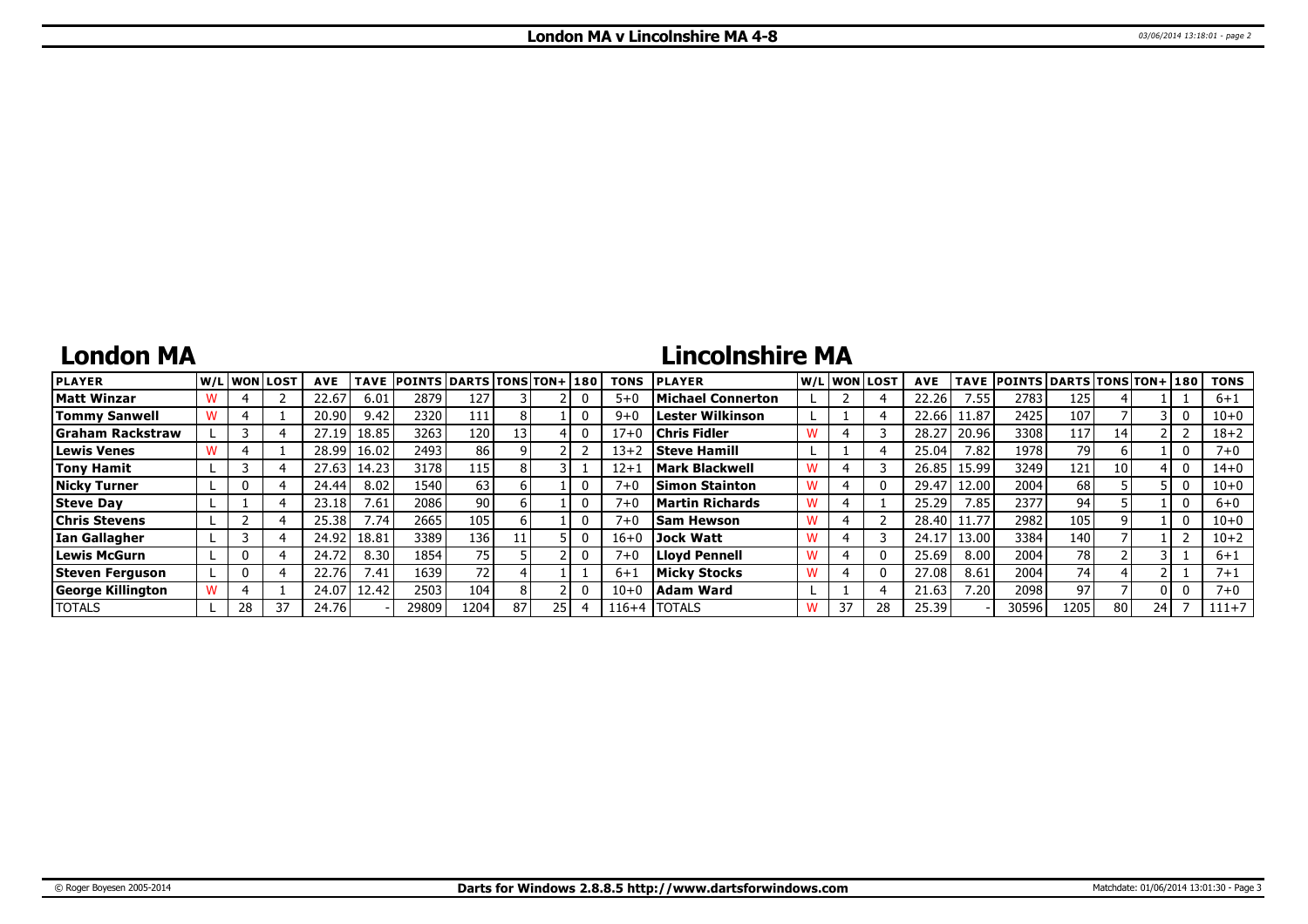## **London MA**

# **Lincolnshire MA**

| <b>PLAYER</b>            |    | lw/Llwonllost | <b>AVE</b> | <b>TAVE</b> | <b>POINTS DARTS TONS TON+180</b> |      |    |    | <b>TONS</b> | <b>PLAYER</b>         | W/L WON LOST | <b>AVE</b> | <b>TAVE</b> | <b>POINTS DARTS TONS TON+ 180</b> |      |    |    | <b>TONS</b> |
|--------------------------|----|---------------|------------|-------------|----------------------------------|------|----|----|-------------|-----------------------|--------------|------------|-------------|-----------------------------------|------|----|----|-------------|
| <b>Matt Winzar</b>       |    |               | 22.67      | 6.01        | 2879                             | 127  |    |    | $5 + C$     | Michael Connerton     |              | 22.26      | 7.55        | 2783                              | 125  |    |    | $6 + 1$     |
| <b>Tommy Sanwell</b>     |    |               | 20.90      | 9.42        | 2320                             | 111  |    |    | $9 + 0$     | Lester Wilkinson      |              | 22.66      | 11.87       | 2425                              | 107  |    |    | 10+0        |
| Graham Rackstraw         |    |               | 27.19      | 18.85       | 3263                             | 120  |    |    | 17+0        | <b>Chris Fidler</b>   |              | 28.27      | 20.96       | 3308                              | 117  | 14 |    | $18 + 2$    |
| <b>Lewis Venes</b>       |    |               | 28.99      | 16.02       | 2493                             | 86   |    |    | $13 + 2$    | <b>Steve Hamill</b>   |              | 25.04      | 7.82        | 1978                              | 791  |    |    | $7 + 0$     |
| <b>Tony Hamit</b>        |    |               | 27.63      | 14.23       | 3178                             | 115  |    |    | $12 + 1$    | <b>Mark Blackwell</b> |              | 26.85      | 15.99       | 3249                              | 121  | 10 |    | $14 + 0$    |
| <b>Nicky Turner</b>      |    |               | 24.44      | 8.02        | 1540                             | 63   |    |    | $7 + 0$     | <b>Simon Stainton</b> |              | 29.47      | 12.00       | 2004                              | 68   |    |    | $10 + 0$    |
| <b>Steve Day</b>         |    |               | 23.18      | 7.61        | 2086                             | 90   |    |    | $7 + C$     | Martin Richards       |              | 25.29      | 7.85        | 2377                              | 94   |    |    | $6+0$       |
| <b>Chris Stevens</b>     |    |               | 25.38      | 7.74.       | 2665                             | 105  |    |    | $7 + 0$     | <b>Sam Hewson</b>     |              | 28.40      | 11.77       | 2982                              | 105  |    |    | 10+0        |
| Ian Gallagher            |    |               | 24.92      | 18.81       | 3389                             | 136  |    |    | $16 + 0$    | Jock Watt             |              | 24.17      | 13.00       | 3384                              | 140  |    |    | $10 + 2$    |
| Lewis McGurn             |    |               | 24.72      | 8.30        | 1854                             | 75   |    |    | $7 + C$     | Llovd Pennell         |              | 25.69      | 8.00        | 2004                              | 78   |    |    | $6 + 1$     |
| Steven Ferguson          |    |               | 22.76      | 7.41        | 1639                             | 72   |    |    | $6 + 1$     | Micky Stocks          |              | 27.08      | 8.61        | 2004                              | 74   |    |    | $7 + 1$     |
| <b>George Killington</b> |    |               | 24.07      | 12.42       | 2503                             | 104  |    |    | $10 + 0$    | Adam Ward             |              | 21.63      | 7.20        | 2098                              | 97   |    |    | $7 + 0$     |
| <b>TOTALS</b>            | 28 | 37            | 24.76      |             | 29809                            | 1204 | 87 | 25 | $116 + 4$   | <b>ITOTALS</b>        | 37           | 25.39      |             | 30596                             | 1205 | 80 | 24 | $111+7$     |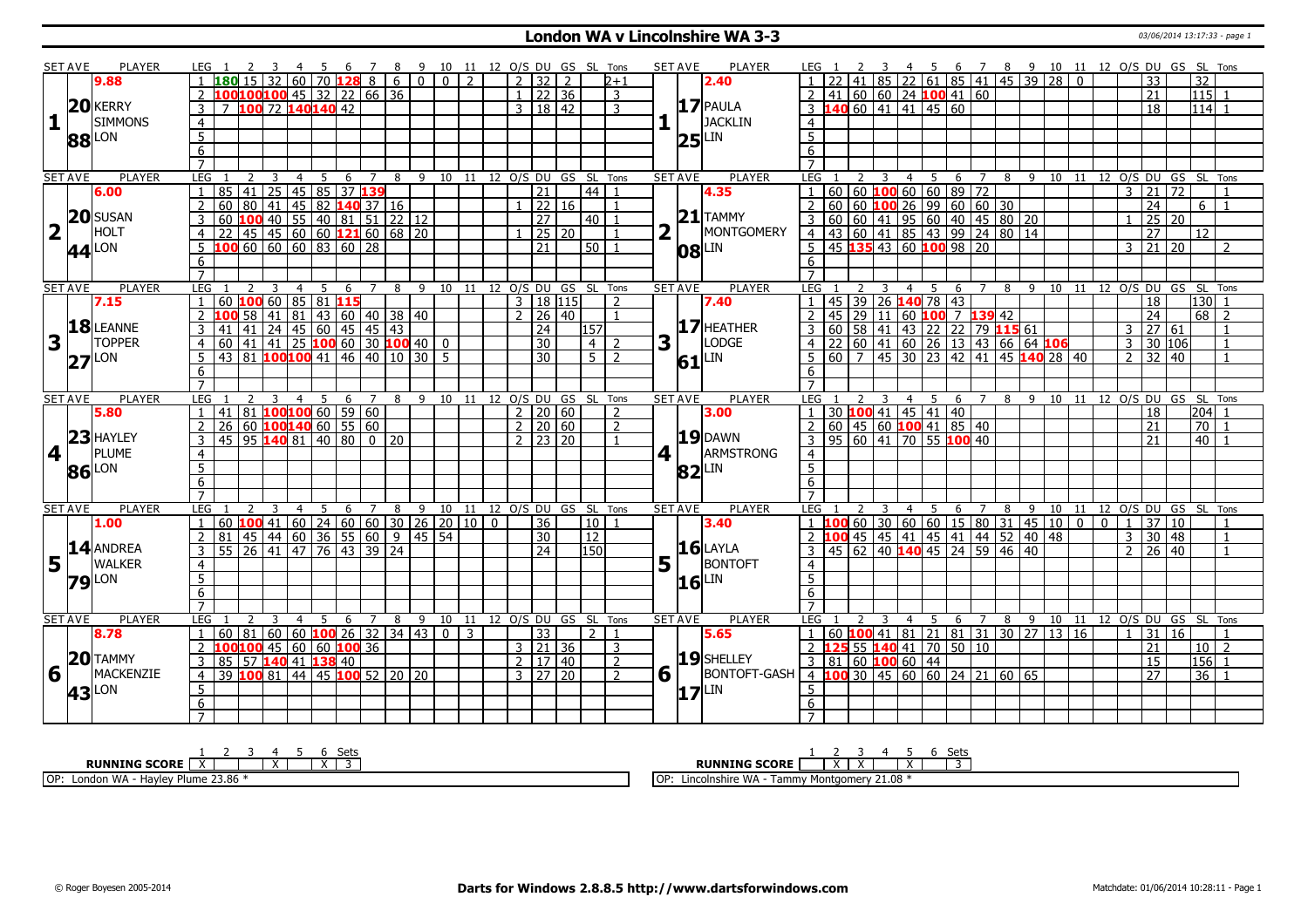### **London WA v Lincolnshire WA 3-3** 03/06/2014 13:17:33 - page 1

|                         | <b>SET AVE</b>    | <b>PLAYER</b>         | LEG 1          |                                                                     |                         | - 4            | 5  |   | - 6 |                |   |   |  |                |                 |                                 |                            | 7 8 9 10 11 12 O/S DU GS SL Tons   |              | <b>SET AVE</b>         | PLAYER                | LEG 1             |                                                              |                |     |                                           |                |   |                  |       |    |             |                | 4 5 6 7 8 9 10 11 12 O/S DU GS SL Tons |                 |                                   |                          |
|-------------------------|-------------------|-----------------------|----------------|---------------------------------------------------------------------|-------------------------|----------------|----|---|-----|----------------|---|---|--|----------------|-----------------|---------------------------------|----------------------------|------------------------------------|--------------|------------------------|-----------------------|-------------------|--------------------------------------------------------------|----------------|-----|-------------------------------------------|----------------|---|------------------|-------|----|-------------|----------------|----------------------------------------|-----------------|-----------------------------------|--------------------------|
|                         |                   | 9.88                  |                | $180$ 15 32 60 70 128 8 6 0 0 0 2                                   |                         |                |    |   |     |                |   |   |  |                |                 | 7 32 7                          |                            | $2 + 1$                            |              |                        | 2.40                  |                   |                                                              |                |     | 85   22   61   85   41   45   39   28   0 |                |   |                  |       |    |             |                | 33                                     |                 | $\overline{32}$                   |                          |
|                         |                   |                       |                | LOO100100 45 32 22 66 36                                            |                         |                |    |   |     |                |   |   |  |                |                 | $1$ 22 36                       |                            | 3                                  |              |                        |                       | 2                 | 41                                                           |                |     | 60   60   24   100   41   60              |                |   |                  |       |    |             |                | 21                                     |                 | 115 1                             |                          |
|                         |                   | 20 KERRY              | 3              |                                                                     | 7 100 72 140 140 42     |                |    |   |     |                |   |   |  |                |                 | 3   18   42                     |                            | 3                                  |              |                        | $17$ PAULA            |                   | $3 \t140 \t60 \t41 \t41 \t45 \t60$                           |                |     |                                           |                |   |                  |       |    |             |                | 18                                     |                 | $114$ 1                           |                          |
| $\mathbf{1}$            |                   | <b>SIMMONS</b>        | $\overline{4}$ |                                                                     |                         |                |    |   |     |                |   |   |  |                |                 |                                 |                            |                                    |              |                        | <b>JACKLIN</b>        | $\overline{4}$    |                                                              |                |     |                                           |                |   |                  |       |    |             |                |                                        |                 |                                   |                          |
|                         |                   |                       | 5              |                                                                     |                         |                |    |   |     |                |   |   |  |                |                 |                                 |                            |                                    |              |                        |                       | 5                 |                                                              |                |     |                                           |                |   |                  |       |    |             |                |                                        |                 |                                   |                          |
|                         |                   | <b>88</b> LON         | 6              |                                                                     |                         |                |    |   |     |                |   |   |  |                |                 |                                 |                            |                                    |              |                        | $25$ <sup>LIN</sup>   | 6                 |                                                              |                |     |                                           |                |   |                  |       |    |             |                |                                        |                 |                                   |                          |
|                         |                   |                       | $\overline{7}$ |                                                                     |                         |                |    |   |     |                |   |   |  |                |                 |                                 |                            |                                    |              |                        |                       | $\overline{7}$    |                                                              |                |     |                                           |                |   |                  |       |    |             |                |                                        |                 |                                   |                          |
|                         | <b>SET AVE</b>    | <b>PLAYER</b>         | LEG            |                                                                     |                         | 4              | -5 |   | 6   | 7              | 8 |   |  |                |                 |                                 |                            | 9 10 11 12 O/S DU GS SL Tons       |              | <b>SET AVE</b>         | <b>PLAYER</b>         | LEG               | 2                                                            | $\overline{4}$ | - 5 | 6                                         | 7              |   | 89               | 10 11 |    |             |                |                                        |                 | 12 O/S DU GS SL Tons              |                          |
|                         |                   | 6.00                  |                | 85 41 25 45 85 37 139                                               |                         |                |    |   |     |                |   |   |  |                | $\overline{21}$ |                                 | l 44 l                     | $\mathbf{1}$                       |              |                        | 4.35                  | 1                 | 60                                                           |                |     | $ 60 $ 100 60 60 89 72                    |                |   |                  |       |    |             | $\mathcal{E}$  | 21                                     | $\overline{72}$ |                                   | $\overline{1}$           |
|                         |                   |                       | $\overline{2}$ | 60   80   41   45   82   140   37   16                              |                         |                |    |   |     |                |   |   |  |                |                 | 22 16                           |                            |                                    |              |                        |                       | 2                 | 60                                                           |                |     |                                           |                |   |                  |       |    |             |                | 24                                     |                 | $6 \mid 1$                        |                          |
|                         |                   | $20$ SUSAN            | 3              | 60 <b>100</b> 40 55 40 81 51 22 12                                  |                         |                |    |   |     |                |   |   |  |                | $\overline{27}$ |                                 | $40$   1                   |                                    |              |                        | $21$ TAMMY            | $3 \overline{60}$ |                                                              |                |     |                                           |                |   |                  |       |    |             |                |                                        | 25 20           |                                   |                          |
| $\overline{\mathbf{2}}$ |                   | HOLT                  | $\overline{4}$ | $22   45   45   60   60   121   60   68   20$                       |                         |                |    |   |     |                |   |   |  |                |                 | $25 \overline{)20}$             |                            | $\mathbf{1}$                       | $\mathbf{2}$ | Iг.                    | MONTGOMERY            |                   |                                                              |                |     |                                           |                |   |                  |       |    |             |                | 27                                     |                 | 12                                |                          |
|                         |                   |                       |                | LOO 60   60   60   83   60   28                                     |                         |                |    |   |     |                |   |   |  |                | $\overline{21}$ |                                 | $50$   1                   |                                    |              |                        |                       |                   | $5 \mid 45$ 135 43 60 100 98 20                              |                |     |                                           |                |   |                  |       |    |             |                | 3 21                                   | 20              |                                   | $\overline{\phantom{a}}$ |
|                         |                   | $44$ <sup>LON</sup>   |                |                                                                     |                         |                |    |   |     |                |   |   |  |                |                 |                                 |                            |                                    |              |                        | $ 08 $ LIN            |                   |                                                              |                |     |                                           |                |   |                  |       |    |             |                |                                        |                 |                                   |                          |
|                         |                   |                       | 6              |                                                                     |                         |                |    |   |     |                |   |   |  |                |                 |                                 |                            |                                    |              |                        |                       | 6                 |                                                              |                |     |                                           |                |   |                  |       |    |             |                |                                        |                 |                                   |                          |
|                         |                   |                       |                |                                                                     |                         |                |    |   |     |                |   |   |  |                |                 |                                 |                            |                                    |              |                        |                       |                   |                                                              |                |     |                                           |                |   |                  |       |    |             |                |                                        |                 |                                   |                          |
|                         | <b>SET AVE</b>    | <b>PLAYER</b><br>7.15 | LEG            | 60 100 60 85 81 115                                                 |                         | $\overline{4}$ |    | 5 | 6 7 |                | 8 |   |  |                |                 | 3   18   115                    |                            | 9 10 11 12 0/S DU GS SL Tons       |              | <b>SET AVE</b>         | <b>PLAYER</b><br>7.40 | LEG               | 45   39   26   140   78   43                                 | $\overline{4}$ |     | 5 6 7                                     |                |   | $8 \overline{9}$ |       |    |             |                | 18                                     |                 | 10 11 12 0/S DU GS SL Tons<br>130 |                          |
|                         |                   |                       | $\overline{2}$ |                                                                     | 58 41 81 43 60 40 38 40 |                |    |   |     |                |   |   |  |                |                 | 2   26   40                     |                            | $\mathbf{1}$                       |              |                        |                       |                   | 45   29   11   60 <mark>100</mark> 7 <b>139</b> 42           |                |     |                                           |                |   |                  |       |    |             |                | 24                                     |                 | $68$   2                          |                          |
|                         |                   | 18 LEANNE             |                |                                                                     |                         |                |    |   |     |                |   |   |  |                |                 |                                 |                            |                                    |              |                        | $17$ HEATHER          | 2                 |                                                              |                |     |                                           |                |   |                  |       |    |             |                |                                        |                 |                                   |                          |
|                         |                   | <b>TOPPER</b>         | $\mathbf{3}$   | 41 41 24 45 60 45 45 43                                             |                         |                |    |   |     |                |   |   |  |                | 24              |                                 | 157                        |                                    |              |                        | LODGE                 | 3 60              |                                                              |                |     | 58 41 43 22 22 79 115 61                  |                |   |                  |       |    |             |                | $3 \mid 27 \mid 61$                    |                 |                                   | $\overline{1}$           |
| 3                       |                   |                       | $\overline{4}$ | $60$ 41 41 25 100 60 30 100 40 0                                    |                         |                |    |   |     |                |   |   |  |                | $\overline{30}$ |                                 | $\overline{4}$             | $\mathcal{L}$                      |              | $3\vert\bar{1}\vert$   |                       |                   | $4$   22   60   41   60   26   13   43   66   64   106       |                |     |                                           |                |   |                  |       |    |             | 3              |                                        | 30 106          |                                   | $\overline{1}$           |
|                         | 27                | <b>LON</b>            | $5-1$          | 43 81 <b>100 100</b> 41 46 40 10 30 5                               |                         |                |    |   |     |                |   |   |  |                | $\overline{30}$ |                                 | $5 \mid 2$                 |                                    |              |                        | 61LIN                 |                   | $5 60 7 45 30 23 42 41 45$ 140 28 40                         |                |     |                                           |                |   |                  |       |    |             |                | $2 \mid 32 \mid 40$                    |                 |                                   | $\overline{1}$           |
|                         |                   |                       | 6              |                                                                     |                         |                |    |   |     |                |   |   |  |                |                 |                                 |                            |                                    |              |                        |                       | 6                 |                                                              |                |     |                                           |                |   |                  |       |    |             |                |                                        |                 |                                   |                          |
|                         |                   |                       | $\overline{7}$ |                                                                     |                         |                |    |   |     |                |   |   |  |                |                 |                                 |                            |                                    |              |                        |                       |                   |                                                              |                |     |                                           |                |   |                  |       |    |             |                |                                        |                 |                                   |                          |
|                         |                   |                       |                |                                                                     |                         | $\overline{4}$ | 5  |   |     |                |   |   |  |                |                 |                                 |                            | 6 7 8 9 10 11 12 0/S DU GS SL Tons |              | <b>SET AVE</b>         | <b>PLAYER</b>         | LEG <sub>1</sub>  |                                                              |                |     | 4 5 6 7                                   |                |   | 89               | 10 11 |    |             |                |                                        |                 | 12 O/S DU GS SL Tons              |                          |
|                         | <b>SET AVE</b>    | <b>PLAYER</b>         | LEG            |                                                                     |                         |                |    |   |     |                |   |   |  |                |                 |                                 |                            |                                    |              |                        |                       |                   |                                                              |                |     |                                           |                |   |                  |       |    |             |                |                                        |                 |                                   |                          |
|                         |                   | 5.80                  |                | $41 \,   \, 81 \,   \, 100 \, 100 \,   \, 60 \,   \, 59 \,   \, 60$ |                         |                |    |   |     |                |   |   |  |                |                 | $2 \mid 20 \mid 60$             |                            | $\mathcal{L}$                      |              |                        | 3.00                  |                   | $1 \ 30 \ 100 \ 41 \ 45 \ 41 \ 40$                           |                |     |                                           |                |   |                  |       |    |             |                | 18                                     |                 | l204l 1                           |                          |
|                         |                   |                       |                | 26 60 <b>100 140</b> 60 55 60                                       |                         |                |    |   |     |                |   |   |  | $\overline{2}$ |                 | 20   60                         |                            | $\mathcal{P}$                      |              |                        |                       |                   | $60$ 45 60 100 41 85 40                                      |                |     |                                           |                |   |                  |       |    |             |                | 21                                     |                 | 70                                |                          |
|                         |                   | 23 HAYLEY             |                | $45$   95 <b>140</b> 81   40   80   0   20                          |                         |                |    |   |     |                |   |   |  |                |                 | $2 \overline{23} \overline{20}$ |                            |                                    |              |                        | $19$ DAWN             | 3                 | 95   60   41   70   55   100   40                            |                |     |                                           |                |   |                  |       |    |             |                | 21                                     |                 | 40 l                              |                          |
| $\overline{4}$          |                   | PLUME                 | $\overline{4}$ |                                                                     |                         |                |    |   |     |                |   |   |  |                |                 |                                 |                            |                                    |              | $4$                    | ARMSTRONG             | $\overline{4}$    |                                                              |                |     |                                           |                |   |                  |       |    |             |                |                                        |                 |                                   |                          |
|                         |                   |                       | 5 <sup>7</sup> |                                                                     |                         |                |    |   |     |                |   |   |  |                |                 |                                 |                            |                                    |              |                        |                       | $\overline{5}$    |                                                              |                |     |                                           |                |   |                  |       |    |             |                |                                        |                 |                                   |                          |
|                         | 86 LON            |                       | 6 <sup>7</sup> |                                                                     |                         |                |    |   |     |                |   |   |  |                |                 |                                 |                            |                                    |              |                        | $ 82 $ LIN            | 6                 |                                                              |                |     |                                           |                |   |                  |       |    |             |                |                                        |                 |                                   |                          |
|                         |                   |                       | $\overline{7}$ |                                                                     |                         |                |    |   |     |                |   |   |  |                |                 |                                 |                            |                                    |              |                        |                       | $\overline{7}$    |                                                              |                |     |                                           |                |   |                  |       |    |             |                |                                        |                 |                                   |                          |
|                         | <b>SET AVE</b>    | <b>PLAYER</b>         | <b>LEG</b>     |                                                                     |                         | $\overline{4}$ | 5  |   | 6   | $\overline{7}$ | 8 |   |  |                |                 |                                 |                            | 9 10 11 12 O/S DU GS SL Tons       |              | <b>SET AVE</b>         | PLAYER                | <b>LEG</b>        |                                                              | 4              | 5   | 6                                         | $\overline{7}$ | 8 | 9                |       |    |             |                |                                        |                 | 10 11 12 O/S DU GS SL Tons        |                          |
|                         |                   | 1.00                  | $\overline{1}$ | 60 <b>100</b> 41 60 24 60 60 30 26 20 10 0                          |                         |                |    |   |     |                |   |   |  |                | 36              |                                 | 10 1                       |                                    |              |                        | 3.40                  | 1 100             |                                                              |                |     | 60 30 60 60 15 80 31                      |                |   | 45 10            |       | 0  | $\mathbf 0$ | $\overline{1}$ | 37 <sup>1</sup>                        | 10              |                                   | $\overline{1}$           |
|                         |                   |                       | $\overline{2}$ | 81 45 44 60 36 55 60 9 45 54                                        |                         |                |    |   |     |                |   |   |  |                | 30              |                                 | $\overline{12}$            |                                    |              |                        |                       |                   | 2 <b>100</b> 45 45 41 45 41 44 52                            |                |     |                                           |                |   | 40 48            |       |    |             | $\overline{3}$ |                                        | 30 48           |                                   | $\overline{1}$           |
|                         |                   | $14$ ANDREA           | $\overline{3}$ | 55   26   41   47   76   43   39   24                               |                         |                |    |   |     |                |   |   |  |                | $\overline{24}$ |                                 | 150                        |                                    |              |                        | $16$ LAYLA            | 3                 | 45 62 40 140 45 24 59 46 40                                  |                |     |                                           |                |   |                  |       |    |             | 2              |                                        | $26 \mid 40$    |                                   | $\overline{1}$           |
| 5                       |                   | <b>WALKER</b>         | $\overline{4}$ |                                                                     |                         |                |    |   |     |                |   |   |  |                |                 |                                 |                            |                                    |              | $5\vert \bar{1} \vert$ | BONTOFT               | $\overline{4}$    |                                                              |                |     |                                           |                |   |                  |       |    |             |                |                                        |                 |                                   |                          |
|                         |                   |                       | 5 <sup>5</sup> |                                                                     |                         |                |    |   |     |                |   |   |  |                |                 |                                 |                            |                                    |              |                        |                       | 5                 |                                                              |                |     |                                           |                |   |                  |       |    |             |                |                                        |                 |                                   |                          |
|                         | <b>79</b> LON     |                       | 6              |                                                                     |                         |                |    |   |     |                |   |   |  |                |                 |                                 |                            |                                    |              |                        | $16$ LIN              | 6                 |                                                              |                |     |                                           |                |   |                  |       |    |             |                |                                        |                 |                                   |                          |
|                         |                   |                       | $\overline{7}$ |                                                                     |                         |                |    |   |     |                |   |   |  |                |                 |                                 |                            |                                    |              |                        |                       | $\overline{7}$    |                                                              |                |     |                                           |                |   |                  |       |    |             |                |                                        |                 |                                   |                          |
|                         | <b>SET AVE</b>    | PLAYER                | <b>LEG</b>     |                                                                     |                         |                |    | 5 | 6   | $\overline{7}$ | 8 | 9 |  |                |                 |                                 | 10 11 12 O/S DU GS SL Tons |                                    |              | <b>SET AVE</b>         | PLAYER                | LEG               |                                                              |                | -5  | 6                                         | $\overline{7}$ | 8 | 9                | 10    | 11 |             |                |                                        |                 | 12 O/S DU GS SL Tons              |                          |
|                         |                   | 8.78                  | $\blacksquare$ | 60   81   60   60   <b>100</b>   26   32   34   43   0   3          |                         |                |    |   |     |                |   |   |  |                | 33              |                                 | 2 I                        | $\mathbf{1}$                       |              |                        | 5.65                  | $\overline{1}$    | 60   <b>100</b>   41   81   21   81   31   30   27   13   16 |                |     |                                           |                |   |                  |       |    |             | $\overline{1}$ | 31 I                                   | 16              |                                   | $\overline{1}$           |
|                         |                   |                       | 2 I            | 100 100 45 60 60 100 36                                             |                         |                |    |   |     |                |   |   |  |                |                 | $3 \mid 21 \mid 36$             |                            | 3                                  |              |                        |                       |                   | 2 125 55 140 41 70 50 10                                     |                |     |                                           |                |   |                  |       |    |             |                | 21                                     |                 | $10$   2                          |                          |
|                         |                   | $20$ TAMMY            | 3              | 85   57 <b>140   41   138   4</b> 0                                 |                         |                |    |   |     |                |   |   |  |                |                 | 2 17 40                         |                            | 2                                  |              |                        | 19 SHELLEY            |                   | 3   81   60   100   60   44                                  |                |     |                                           |                |   |                  |       |    |             |                | 15                                     |                 | $156$ 1                           |                          |
| 6                       |                   | MACKENZIE             | $\overline{4}$ | 39 100 81   44   45 100 52   20   20                                |                         |                |    |   |     |                |   |   |  |                |                 | 3   27   20                     |                            | $\mathcal{P}$                      |              | $6 \mid$               | <b>BONTOFT-GASH</b>   |                   | $4$ <b>100</b> 30 45 60 60 24 21 60 65                       |                |     |                                           |                |   |                  |       |    |             |                | $\overline{27}$                        |                 | $36$   1                          |                          |
|                         |                   |                       | 5              |                                                                     |                         |                |    |   |     |                |   |   |  |                |                 |                                 |                            |                                    |              |                        |                       | 5                 |                                                              |                |     |                                           |                |   |                  |       |    |             |                |                                        |                 |                                   |                          |
|                         | 43 <sup>LON</sup> |                       | 6              |                                                                     |                         |                |    |   |     |                |   |   |  |                |                 |                                 |                            |                                    |              |                        | $17$ <sup>LIN</sup>   | 6                 |                                                              |                |     |                                           |                |   |                  |       |    |             |                |                                        |                 |                                   |                          |

| Sets                                                     | -`≏t<br>しししこ                                                                      |
|----------------------------------------------------------|-----------------------------------------------------------------------------------|
| <b>RUNNING SCORE</b><br>$\lambda$                        | <b>RUNNING SCORE</b><br>.<br>$\overline{\phantom{a}}$<br>$\overline{\phantom{a}}$ |
| Plume 23.86<br>$\cap P$<br>. WA<br>Havley<br>Londor<br>ັ | 21.08<br>1 OP<br>Lincolnshire WA<br><b>Fammy Montgomery</b>                       |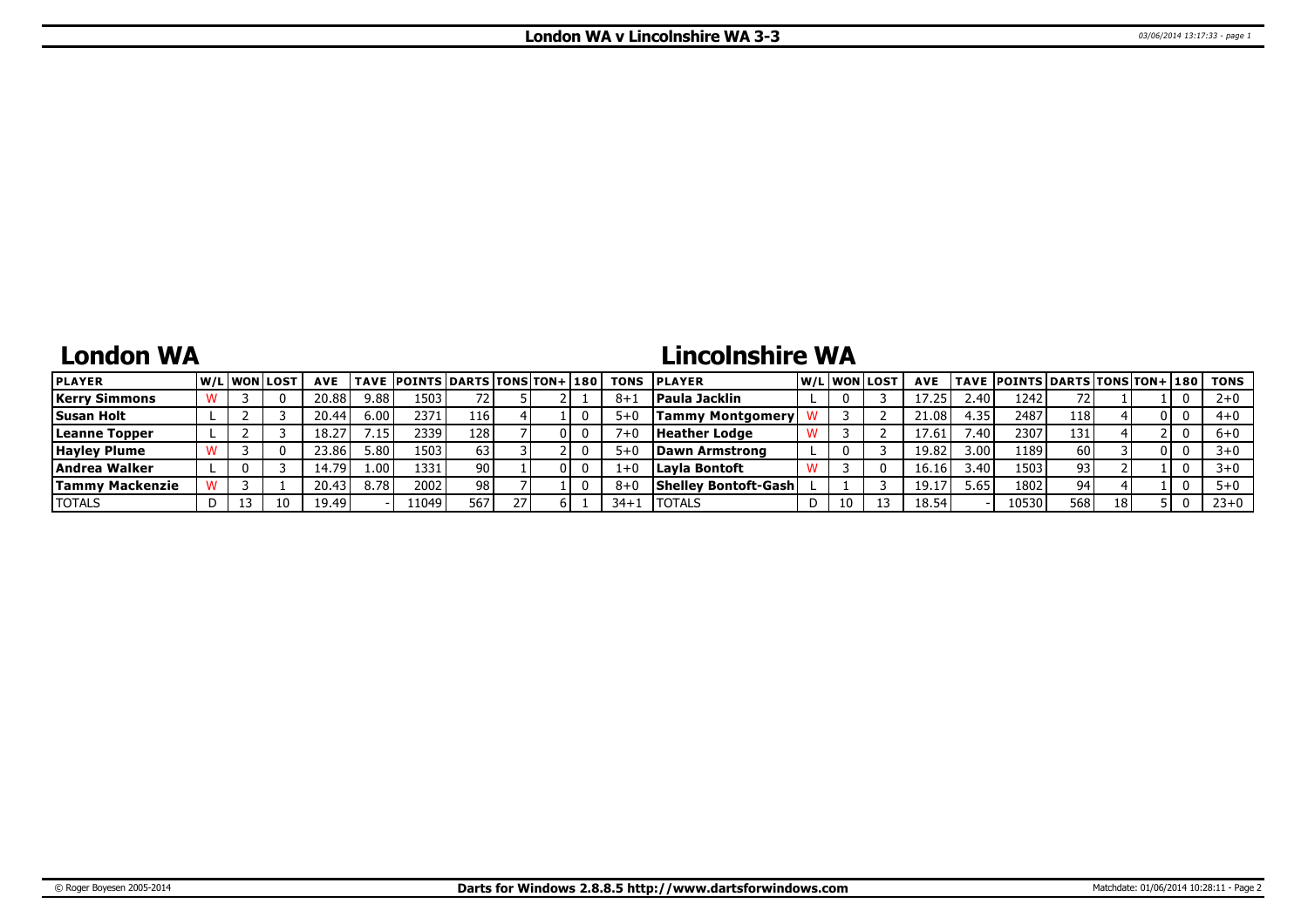## **London WA**

# **Lincolnshire WA**

| <b>PLAYER</b>          |  | W/L WON LOST | <b>AVE</b> |      | <b>TAVE POINTS DARTS TONS TON+ 180</b> |     |  |         | <b>TONS PLAYER</b>          |    | lw/Llwonllost | <b>AVE</b> |                 | TAVE  POINTS   DARTS   TONS   TON+   180 |      |    |  | <b>TONS</b> |
|------------------------|--|--------------|------------|------|----------------------------------------|-----|--|---------|-----------------------------|----|---------------|------------|-----------------|------------------------------------------|------|----|--|-------------|
| <b>Kerry Simmons</b>   |  |              | 20.88      | 9.88 | 1503                                   |     |  | $8 + 3$ | <b>Paula Jacklin</b>        |    |               |            | 2.40            | 1242                                     |      |    |  | $2 + 0$     |
| <b>Susan Holt</b>      |  |              | 20.44      | 6.00 | 2371                                   | 116 |  | $5+0$   | <b>Tammy Montgomery</b>     |    |               | 21.08      | 4.35            | 2487                                     | 1181 |    |  | 4+0         |
| Leanne Topper          |  |              | 18.27      | 7.15 | 2339                                   | 128 |  |         | <b>Heather Lodge</b>        |    |               | 17.61      | $^{\prime}$ .40 | 2307                                     | 131  |    |  | $6+0$       |
| <b>Hayley Plume</b>    |  |              | 23.86      | 5.80 | 1503                                   | 63  |  | $5+0$   | Dawn Armstrong              |    |               | 19.82      | 3.00            | 1189                                     | 60 I |    |  | $3 + 0$     |
| Andrea Walker          |  |              | +.79       | 1.00 | 1331                                   | 90  |  |         | Lavia Bontoft               |    |               | 16.16      | 3.40            | 1503                                     | 93   |    |  | $3 + 0$     |
| <b>Tammy Mackenzie</b> |  |              | 20.43      | 8.78 | 2002                                   | 98  |  | $8 + C$ | <b>Shelley Bontoft-Gash</b> |    |               | 19.1       | 5.65            | 1802                                     | 94   |    |  | $5 + 0$     |
| <b>TOTALS</b>          |  |              | 19.49      |      | .1049                                  | 567 |  | 34+1    | <b>ITOTALS</b>              | 10 |               | 18.54      |                 | 10530                                    | 568  | 18 |  | $23+0$      |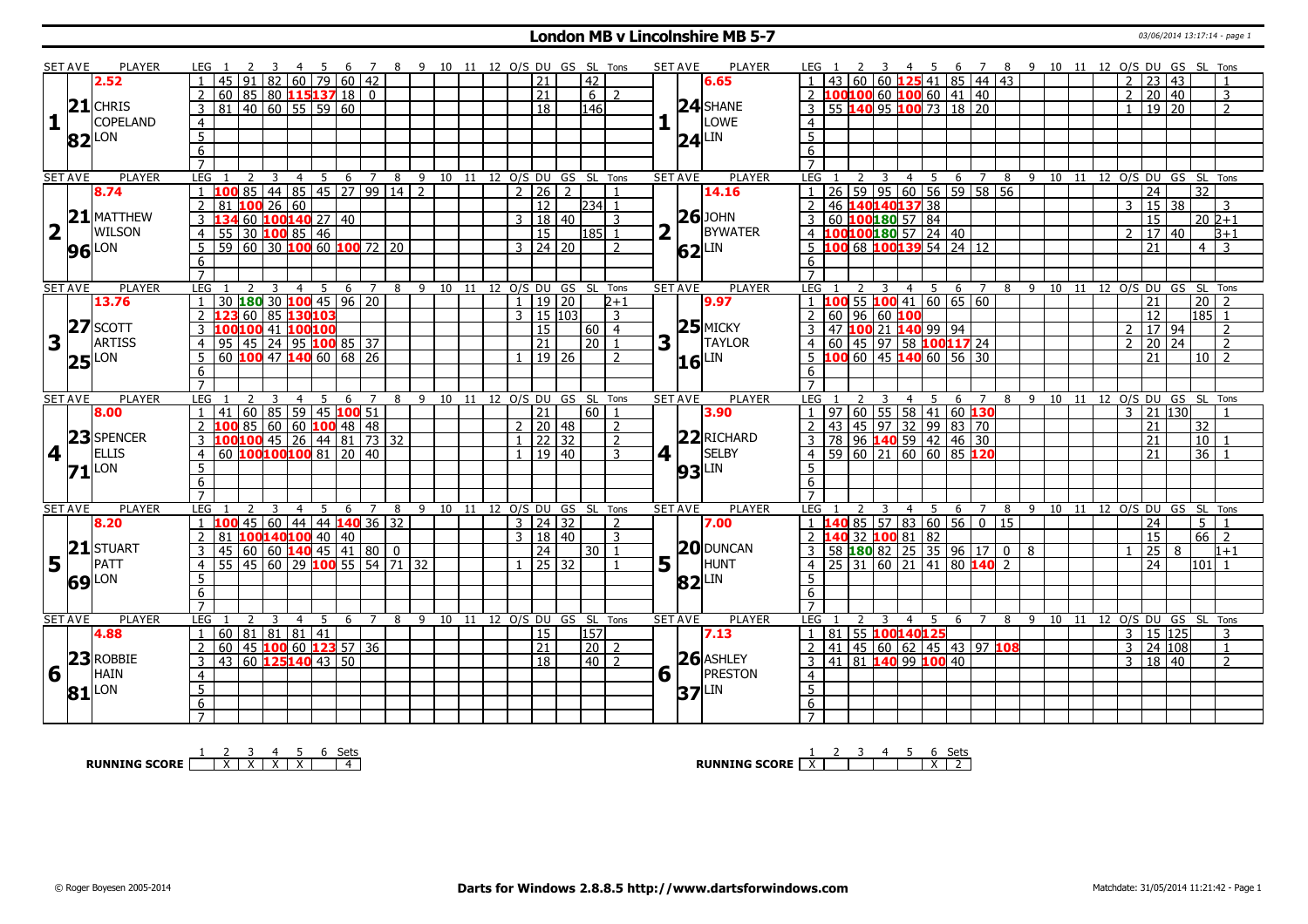#### **London MB v Lincolnshire MB 5-7** 03/06/2014 13:17:14 - page 1

|                         | <b>SET AVE</b> | <b>PLAYER</b>       | LEG 1                             |               | $\overline{\mathbf{3}}$ |                |   |   |                             |                                                     | 4 5 6 7 8 9 10 11 12 O/S DU GS SL Tons |                              |   |                      |               |                |             | <b>SET AVE</b> | PLAYER        | LEG 1                             |                 |    |                  | 2 3 4 5 6 7 8 9 10 11 12 O/S DU GS SL Tons                                                 |                                   |   |           |    |  |                |                     |    |                                            |                |
|-------------------------|----------------|---------------------|-----------------------------------|---------------|-------------------------|----------------|---|---|-----------------------------|-----------------------------------------------------|----------------------------------------|------------------------------|---|----------------------|---------------|----------------|-------------|----------------|---------------|-----------------------------------|-----------------|----|------------------|--------------------------------------------------------------------------------------------|-----------------------------------|---|-----------|----|--|----------------|---------------------|----|--------------------------------------------|----------------|
|                         |                | 2.52                |                                   |               |                         |                |   |   | 82 60 79 60 42              |                                                     |                                        |                              |   | 21                   | 42            |                |             |                | 6.65          |                                   |                 |    |                  | 60 60 <b>125</b> 41 85 44 43                                                               |                                   |   |           |    |  | $2^{\circ}$    | 23   43             |    |                                            |                |
|                         |                |                     |                                   |               |                         |                |   |   | $60   85   80$ 115 137 18 0 |                                                     |                                        |                              |   | $\overline{21}$      | 6             | $\overline{z}$ |             |                |               |                                   |                 |    |                  | 2 <b>100100</b> 60 <b>100</b> 60 <b>41 40</b>                                              |                                   |   |           |    |  |                | $2 \mid 20 \mid 40$ |    |                                            | $\overline{3}$ |
|                         |                | $21$ CHRIS          | $\overline{3}$<br>$\overline{81}$ |               | 40   60   55   59   60  |                |   |   |                             |                                                     |                                        |                              |   | $\overline{18}$      | 146           |                |             |                | $24$ SHANE    |                                   |                 |    |                  | 3 55 140 95 100 73 18 20                                                                   |                                   |   |           |    |  |                | 19 20               |    |                                            | $\overline{2}$ |
| $\mathbf{1}$            |                | COPELAND            |                                   |               |                         |                |   |   |                             |                                                     |                                        |                              |   |                      |               |                |             |                | LOWE          |                                   |                 |    |                  |                                                                                            |                                   |   |           |    |  |                |                     |    |                                            |                |
|                         |                |                     | $\overline{4}$                    |               |                         |                |   |   |                             |                                                     |                                        |                              |   |                      |               |                |             |                |               | $\overline{4}$                    |                 |    |                  |                                                                                            |                                   |   |           |    |  |                |                     |    |                                            |                |
|                         |                | $82$ <sup>LON</sup> | $\overline{5}$                    |               |                         |                |   |   |                             |                                                     |                                        |                              |   |                      |               |                |             | 24             | LIN           | $5^{\circ}$                       |                 |    |                  |                                                                                            |                                   |   |           |    |  |                |                     |    |                                            |                |
|                         |                |                     | $\overline{6}$                    |               |                         |                |   |   |                             |                                                     |                                        |                              |   |                      |               |                |             |                |               | 6                                 |                 |    |                  |                                                                                            |                                   |   |           |    |  |                |                     |    |                                            |                |
|                         |                |                     | $\overline{7}$                    |               |                         |                |   |   |                             |                                                     |                                        |                              |   |                      |               |                |             |                |               | $\overline{7}$                    |                 |    |                  |                                                                                            |                                   |   |           |    |  |                |                     |    |                                            |                |
|                         | <b>SET AVE</b> | <b>PLAYER</b>       | <b>LEG</b>                        | $2 \quad 3$   |                         | $\overline{4}$ |   |   |                             |                                                     | 5 6 7 8 9 10 11 12 O/S DU GS SL Tons   |                              |   |                      |               |                |             | <b>SET AVE</b> | <b>PLAYER</b> | LEG <sub>1</sub>                  |                 |    |                  |                                                                                            |                                   |   |           |    |  |                |                     |    | 2 3 4 5 6 7 8 9 10 11 12 O/S DU GS SL Tons |                |
|                         |                | 8.74                | $\mathbf{1}$<br>100               |               |                         |                |   |   |                             | 85 44 85 45 27 99 14 2                              |                                        |                              |   | $2$   26   2         |               | $\overline{1}$ |             |                | 14.16         |                                   |                 |    |                  | 26 59 95 60 56 59 58 56                                                                    |                                   |   |           |    |  |                | $\overline{24}$     |    | $\overline{32}$                            |                |
|                         |                |                     | $81$ 100 26 60<br>$\overline{2}$  |               |                         |                |   |   |                             |                                                     |                                        |                              |   | $\overline{12}$      | 234 1         |                |             |                |               | 2                                 |                 |    | 46 140140137 38  |                                                                                            |                                   |   |           |    |  |                | 3   15   38         |    |                                            | 3              |
|                         |                | $21$ MATTHEW        | 3                                 |               | 60 $100140$ 27 40       |                |   |   |                             |                                                     |                                        |                              | 3 | 18   40              |               | 3              |             |                | $26$ JOHN     |                                   |                 |    | 60 100 180 57 84 |                                                                                            |                                   |   |           |    |  |                | 15                  |    | $20\,$ $2+1$                               |                |
| $\overline{\mathbf{2}}$ |                | <b>WILSON</b>       | $\overline{4}$<br>55              |               | $30$ 100 85 46          |                |   |   |                             |                                                     |                                        |                              |   | <sup>15</sup>        | l185l 1       |                |             |                | BYWATER       |                                   |                 |    |                  | 4 100 100 180 57 24 40                                                                     |                                   |   |           |    |  |                | 17                  | 40 |                                            | $B+1$          |
|                         |                |                     | 5                                 |               |                         |                |   |   |                             | $\overline{59}$ 60 30 100 60 100 72 20              |                                        |                              |   | 3 24 20              |               | $\overline{2}$ |             |                | LIN           | .5                                |                 |    |                  | $10068$ 100139 54 24 12                                                                    |                                   |   |           |    |  |                | 21                  |    | 4 I                                        | 3              |
|                         |                | <b>96</b> LON       | 6                                 |               |                         |                |   |   |                             |                                                     |                                        |                              |   |                      |               |                |             | 62             |               | 6                                 |                 |    |                  |                                                                                            |                                   |   |           |    |  |                |                     |    |                                            |                |
|                         |                |                     | $\overline{7}$                    |               |                         |                |   |   |                             |                                                     |                                        |                              |   |                      |               |                |             |                |               | $\overline{7}$                    |                 |    |                  |                                                                                            |                                   |   |           |    |  |                |                     |    |                                            |                |
|                         |                |                     |                                   |               |                         |                |   |   |                             |                                                     |                                        |                              |   |                      |               |                |             |                |               |                                   |                 |    |                  |                                                                                            |                                   |   |           |    |  |                |                     |    |                                            |                |
|                         | <b>SET AVE</b> | PLAYER              | LEG                               |               | 3                       | $\overline{4}$ |   |   | $5\quad 6\quad 7$           | 8                                                   |                                        | 9 10 11 12 O/S DU GS SL Tons |   |                      |               |                |             | <b>SET AVE</b> | <b>PLAYER</b> | LEG <sub>1</sub>                  |                 | 3  |                  | 4 5 6 7                                                                                    |                                   | 8 | 9 10      | 11 |  |                |                     |    | 12 O/S DU GS SL Tons                       | $\overline{z}$ |
|                         |                | 13.76               | $\mathbf{1}$                      |               |                         |                |   |   | 30 180 30 100 45 96 20      |                                                     |                                        |                              |   | 1   19   20          |               | $2 + 1$        |             |                | 9.97          |                                   |                 |    |                  | $1 \overline{100}$ 55 $\overline{100}$ 41 60 65 60                                         |                                   |   |           |    |  |                | $\overline{21}$     |    | 20 <sup>1</sup>                            |                |
|                         | 27             |                     | $\overline{2}$<br>דכו             | 60            | 85 130 103              |                |   |   |                             |                                                     |                                        |                              |   | $3 \mid 15 \mid 103$ |               | $\overline{3}$ |             |                |               | 2   60   96   60   100            |                 |    |                  |                                                                                            |                                   |   |           |    |  |                | $\overline{12}$     |    | $185$ 1                                    |                |
|                         |                | SCOTT               | 100100 41 100100<br>3             |               |                         |                |   |   |                             |                                                     |                                        |                              |   | <sup>15</sup>        | 60   4        |                |             |                | $25$ MICKY    |                                   |                 |    |                  | 3 47 100 21 140 99 94                                                                      |                                   |   |           |    |  |                | 2   17   94         |    |                                            | $\overline{2}$ |
| 3                       |                | <b>ARTISS</b>       | $\overline{4}$<br>95              |               |                         |                |   |   | 45 24 95 100 85 37          |                                                     |                                        |                              |   | $\sqrt{21}$          | $\sqrt{20}$ 1 |                | 3           |                | <b>TAYLOR</b> | $\overline{4}$                    |                 |    |                  | 60 45 97 58 100117 24                                                                      |                                   |   |           |    |  | $\mathcal{L}$  | $\overline{20}$     | 24 |                                            | $\overline{2}$ |
|                         | 25             | <b>LON</b>          | 5                                 |               |                         |                |   |   | 60 $100$ 47 $140$ 60 68 26  |                                                     |                                        |                              |   | 19 26                |               | $\overline{z}$ |             | 16             | _IN           |                                   |                 |    |                  | 5 100 60 45 140 60 56 30                                                                   |                                   |   |           |    |  |                | 21                  |    | $10\overline{\smash{)}\,}$                 |                |
|                         |                |                     | 6                                 |               |                         |                |   |   |                             |                                                     |                                        |                              |   |                      |               |                |             |                |               | 6                                 |                 |    |                  |                                                                                            |                                   |   |           |    |  |                |                     |    |                                            |                |
|                         |                |                     | $\overline{7}$                    |               |                         |                |   |   |                             |                                                     |                                        |                              |   |                      |               |                |             |                |               |                                   |                 |    |                  |                                                                                            |                                   |   |           |    |  |                |                     |    |                                            |                |
|                         | <b>SET AVE</b> | <b>PLAYER</b>       | LEG                               |               |                         | 4              |   | 6 | $\overline{7}$              | 8                                                   |                                        | 9 10 11 12 O/S DU GS SL      |   |                      |               | Tons           |             | <b>SET AVE</b> | <b>PLAYER</b> | LEG                               |                 |    | 4 5              | 6                                                                                          | $\overline{7}$                    |   | 8 9 10 11 |    |  |                |                     |    | 12 O/S DU GS SL Tons                       |                |
|                         |                |                     |                                   |               |                         |                |   |   |                             |                                                     |                                        |                              |   |                      |               |                |             |                |               |                                   |                 |    |                  |                                                                                            |                                   |   |           |    |  |                |                     |    |                                            |                |
|                         |                | 8.00                | 41                                |               |                         |                |   |   |                             |                                                     |                                        |                              |   | 21                   | $60$   1      |                |             |                | 3.90          |                                   |                 |    |                  |                                                                                            |                                   |   |           |    |  | 3              | 21 130              |    |                                            |                |
|                         |                |                     | $\overline{2}$                    | 60 85 59      |                         |                |   |   | 45 100 51                   |                                                     |                                        |                              |   |                      |               | $\overline{z}$ |             |                |               |                                   |                 |    |                  |                                                                                            | 97   60   55   58   41   60   130 |   |           |    |  |                | 21                  |    |                                            |                |
|                         |                |                     | $\overline{3}$                    |               |                         |                |   |   | 1008560601004848            |                                                     |                                        |                              |   | $2 \mid 20 \mid 48$  |               | $\overline{z}$ |             |                | $22$ RICHARD  |                                   |                 |    |                  |                                                                                            |                                   |   |           |    |  |                |                     |    | 32                                         |                |
|                         |                | 23 SPENCER          |                                   |               |                         |                |   |   |                             | $100100$ 45 26 44 81 73 32                          |                                        |                              |   | $1$   22   32        |               | $\mathcal{R}$  |             |                |               |                                   |                 |    |                  |                                                                                            |                                   |   |           |    |  |                | 21<br>21            |    | 10                                         |                |
|                         | 4              | <b>ELLIS</b>        | $\overline{4}$                    |               |                         |                |   |   | 60 100100100 81 20 40       |                                                     |                                        |                              |   | $1 \mid 19 \mid 40$  |               |                | 4 1         |                | <b>SELBY</b>  |                                   |                 |    |                  | 2 43 45 97 32 99 83 70<br>3 78 96 <b>140</b> 59 42 46 30<br>4 59 60 21 60 60 85 <b>120</b> |                                   |   |           |    |  |                |                     |    | $36$   1                                   |                |
|                         |                | $71$ <sup>LON</sup> | 5                                 |               |                         |                |   |   |                             |                                                     |                                        |                              |   |                      |               |                |             | 93             | LIN           | 5                                 |                 |    |                  |                                                                                            |                                   |   |           |    |  |                |                     |    |                                            |                |
|                         |                |                     | $6 \overline{6}$                  |               |                         |                |   |   |                             |                                                     |                                        |                              |   |                      |               |                |             |                |               | 6                                 |                 |    |                  |                                                                                            |                                   |   |           |    |  |                |                     |    |                                            |                |
|                         |                |                     | $\overline{7}$                    |               |                         |                |   |   |                             |                                                     |                                        |                              |   |                      |               |                |             |                |               | $\overline{7}$                    |                 |    |                  |                                                                                            |                                   |   |           |    |  |                |                     |    |                                            |                |
|                         | <b>SET AVE</b> | <b>PLAYER</b>       | <b>LEG</b>                        |               | 3                       | $\overline{4}$ | 5 |   |                             | $6 \quad 7 \quad 8$                                 | 9 10 11 12 O/S DU GS SL Tons           |                              |   |                      |               |                |             | <b>SET AVE</b> | PLAYER        | LEG 1                             |                 | 3  |                  |                                                                                            |                                   |   |           |    |  |                |                     |    | 4 5 6 7 8 9 10 11 12 O/S DU GS SL Tons     |                |
|                         |                | 8.20                | $\mathbf{1}$<br>100               |               |                         |                |   |   |                             | 45 60 44 44 140 36 32                               |                                        |                              |   | $3 \mid 24 \mid 32$  |               | $\overline{2}$ |             |                | 7.00          | $1\quad1$                         |                 |    |                  | <b>40</b> 85 57 83 60 56 0 15                                                              |                                   |   |           |    |  |                | 24                  |    | 5 1                                        |                |
|                         |                |                     | $\overline{2}$<br>81              |               | 100140100 40 40         |                |   |   |                             |                                                     |                                        |                              |   | 3   18   40          |               | $\overline{3}$ |             |                |               | $2\vert 1$                        |                 |    | 40 32 100 81 82  |                                                                                            |                                   |   |           |    |  |                | 15                  |    | 66                                         | $\overline{2}$ |
|                         |                | 21 STUART           | 3<br>45                           |               |                         |                |   |   |                             |                                                     |                                        |                              |   | 24                   | $30$   1      |                |             |                | 20 DUNCAN     | $3-1$                             |                 |    |                  | 58 <b>180</b> 82 25 35 96 17 0 8                                                           |                                   |   |           |    |  |                | $\overline{25}$     | 8  |                                            | $1 + 1$        |
| 5 <sub>l</sub>          | LΓ             | PATT                | $\overline{4}$<br>55              |               |                         |                |   |   |                             | 45   60   29   <mark>100</mark>   55   54   71   32 |                                        |                              |   | 25   32              |               |                | 5           |                | HUNT          |                                   |                 |    |                  | $25 \mid 31 \mid 60 \mid 21 \mid 41 \mid 80 \mid 140 \mid 2$                               |                                   |   |           |    |  |                | 24                  |    | 101 l                                      |                |
|                         |                |                     | 5                                 |               |                         |                |   |   |                             |                                                     |                                        |                              |   |                      |               |                |             |                | LIN           | $5\overline{5}$                   |                 |    |                  |                                                                                            |                                   |   |           |    |  |                |                     |    |                                            |                |
|                         |                | 69 LON              | $\overline{6}$                    |               |                         |                |   |   |                             |                                                     |                                        |                              |   |                      |               |                |             | 82             |               | 6                                 |                 |    |                  |                                                                                            |                                   |   |           |    |  |                |                     |    |                                            |                |
|                         |                |                     | $\overline{7}$                    |               |                         |                |   |   |                             |                                                     |                                        |                              |   |                      |               |                |             |                |               | $\overline{7}$                    |                 |    |                  |                                                                                            |                                   |   |           |    |  |                |                     |    |                                            |                |
|                         | <b>SET AVE</b> | <b>PLAYER</b>       | LEG <sub>1</sub>                  | $\mathcal{L}$ | $\mathcal{R}$           | $\overline{4}$ | 5 |   | 6 7                         | 8                                                   |                                        | 9 10 11 12 O/S DU GS SL Tons |   |                      |               |                |             | <b>SET AVE</b> | <b>PLAYER</b> | LEG 1                             |                 | -3 |                  | 4 5 6 7                                                                                    |                                   | 8 | 9 10 11   |    |  |                |                     |    | 12 O/S DU GS SL Tons                       |                |
|                         |                | 4.88                | 60 81 81 81 41<br>$\mathbf{1}$    |               |                         |                |   |   |                             |                                                     |                                        |                              |   | 15                   | 157           |                |             |                | 7.13          | $\mathbf{1}$                      |                 |    | 81 55 100140125  |                                                                                            |                                   |   |           |    |  | $\overline{3}$ | 15 125              |    |                                            | 3              |
|                         |                |                     | 60<br>$\overline{2}$              |               |                         |                |   |   |                             |                                                     |                                        |                              |   | $\overline{21}$      | $\sqrt{20}$ 2 |                |             |                |               | $\overline{2}$                    | $\overline{41}$ |    |                  |                                                                                            |                                   |   |           |    |  | $\overline{3}$ | 24 108              |    |                                            | $\mathbf{1}$   |
|                         |                |                     |                                   |               |                         |                |   |   | 45 100 60 123 57 36         |                                                     |                                        |                              |   |                      |               |                |             |                |               |                                   |                 |    |                  | $145 \mid 60 \mid 62 \mid 45 \mid 43 \mid 97$ 108                                          |                                   |   |           |    |  |                |                     |    |                                            | $\overline{z}$ |
|                         | 23             | <b>ROBBIE</b>       | 43 60 125 140 43 50<br>3          |               |                         |                |   |   |                             |                                                     |                                        |                              |   | $\overline{18}$      | $40$   2      |                |             |                | $26$ ASHLEY   |                                   |                 |    |                  | 3   41   81   140   99   100   40                                                          |                                   |   |           |    |  |                | 3   18   40         |    |                                            |                |
| 6                       |                | <b>HAIN</b>         | $\overline{4}$                    |               |                         |                |   |   |                             |                                                     |                                        |                              |   |                      |               |                | $6\sqrt{ }$ |                | PRESTON       | $\overline{4}$                    |                 |    |                  |                                                                                            |                                   |   |           |    |  |                |                     |    |                                            |                |
|                         |                | $81$ <sup>LON</sup> | $\overline{5}$                    |               |                         |                |   |   |                             |                                                     |                                        |                              |   |                      |               |                |             | 37             | LIN           | $\overline{5}$                    |                 |    |                  |                                                                                            |                                   |   |           |    |  |                |                     |    |                                            |                |
|                         |                |                     | 6<br>$\overline{7}$               |               |                         |                |   |   |                             |                                                     |                                        |                              |   |                      |               |                |             |                |               | $6\overline{6}$<br>$\overline{7}$ |                 |    |                  |                                                                                            |                                   |   |           |    |  |                |                     |    |                                            |                |

**RUNNING SCORE**  $\begin{array}{|c|c|c|c|c|}\n\hline\n & 2 & 3 & 4 & 5 & 6 & \text{Sets} \\
\hline\n\end{array}$ 

**RUNNING SCORE**  $\begin{array}{|c|c|c|c|c|}\n\hline\n\textbf{1} & \textbf{2} & \textbf{3} & \textbf{4} & \textbf{5} & \textbf{6} & \textbf{Sets} \\
\hline\n\textbf{2} & \textbf{3} & \textbf{4} & \textbf{5} & \textbf{6} & \textbf{Sets} \\
\hline\n\end{array}$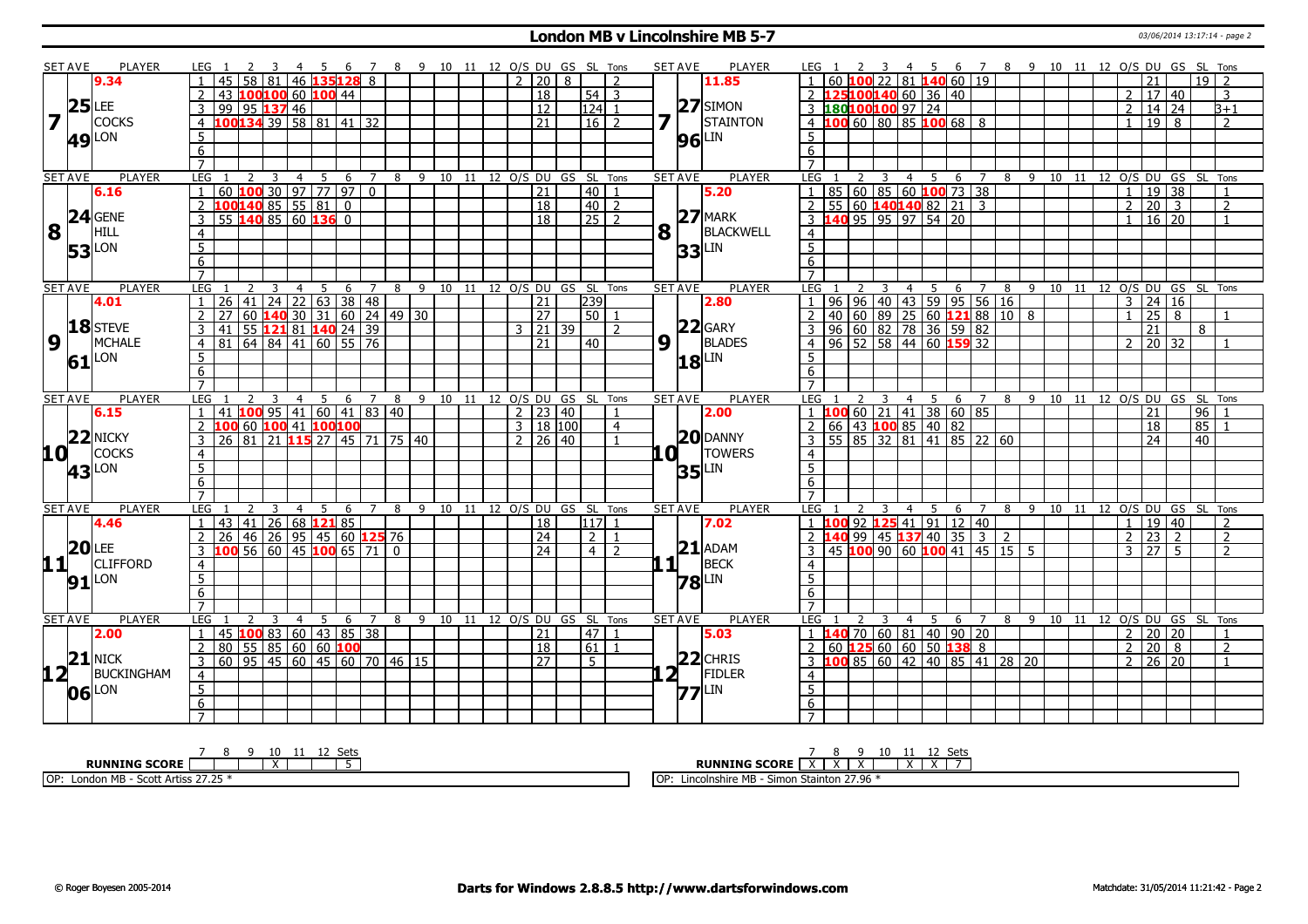#### **London MB v Lincolnshire MB 5-7** 03/06/2014 13:17:14 - page 2

|                         | <b>SET AVE</b> | <b>PLAYER</b>       | LEG <sub>1</sub>                                             | 4 5 6 7 8 9 10 11 12 O/S DU GS SL Tons        |   |                         |                                    | <b>SET AVE</b><br><b>PLAYER</b>                                       | 4 5 6 7 8 9 10 11 12 O/S DU GS SL Tons<br>LEG 1                                                                               |  |
|-------------------------|----------------|---------------------|--------------------------------------------------------------|-----------------------------------------------|---|-------------------------|------------------------------------|-----------------------------------------------------------------------|-------------------------------------------------------------------------------------------------------------------------------|--|
|                         |                | 9.34                | 58 81 46 135 128                                             | 8                                             |   | 2   20   8              | $\mathcal{D}$                      | 11.85                                                                 | $22 \mid 81$ 140 60 19<br>$19$ $\overline{\phantom{0}}$<br>21                                                                 |  |
|                         |                |                     | $\overline{2}$<br>43 100100 60 100 44                        |                                               |   | 18                      | $54$ 3                             |                                                                       | 25100140 60 36 40<br>17 40<br>2<br>3                                                                                          |  |
|                         | $25$ LEE       |                     | 99<br>95 137 46                                              |                                               |   | $\overline{12}$         | $124$ 1                            | $ 27 $ SIMON                                                          | 3 180100100 97 24<br>14 24<br>2<br>$B+1$                                                                                      |  |
| $\overline{\mathbf{z}}$ |                | <b>COCKS</b>        | $.00134$ 39 58 81 41 32<br>$\overline{4}$                    |                                               |   | $\overline{21}$         | $16$ 2                             | <b>STAINTON</b>                                                       | 00 60 80 85 100 68 8<br>19<br>$\overline{2}$<br>$\mathbf{1}$<br>8<br>$\overline{4}$                                           |  |
|                         |                | <b>49</b> LON       | 5                                                            |                                               |   |                         |                                    | LIN<br>96                                                             | 5                                                                                                                             |  |
|                         |                |                     | 6                                                            |                                               |   |                         |                                    |                                                                       | 6                                                                                                                             |  |
|                         |                |                     | $\overline{7}$                                               |                                               |   |                         |                                    |                                                                       | $\overline{7}$                                                                                                                |  |
|                         | <b>SET AVE</b> | <b>PLAYER</b>       | LEG<br>3<br>$\overline{4}$                                   | 5<br>6<br>7                                   |   |                         | 8 9 10 11 12 O/S DU GS SL Tons     | <b>SET AVE</b><br><b>PLAYER</b>                                       | LEG<br>10 11 12 O/S DU GS SL Tons<br>3<br>4 5<br>6<br>$\overline{7}$<br>89<br>$\mathbf{2}$                                    |  |
|                         |                | 6.16                | <mark>LOO</mark> 30   97   77   97  <br>60                   | $\overline{0}$                                |   | 21                      | 40                                 | 5.20                                                                  | 60   85   60   100   73   38<br>85<br>19 38<br>$\overline{1}$<br>-1                                                           |  |
|                         |                |                     | $\overline{100140}$ 85 55 81 0<br>$\overline{2}$             |                                               |   | $\overline{18}$         | $40$   2                           |                                                                       | $\overline{20}$ 3<br>55 60 140 140 82 21 3<br>$\overline{2}$<br><sup>2</sup><br>$\overline{\phantom{a}}$                      |  |
|                         |                | $24$ GENE           | $55$ 140 85 60 136 0<br>$\overline{3}$                       |                                               |   | $\overline{18}$         | $\overline{25}$ $\overline{2}$     | $27$ MARK                                                             | $3$ 140 95 95 97 54 20<br>$16 \mid 20$<br>$\mathbf{1}$<br>$\mathbf{1}$                                                        |  |
| 8                       |                | <b>HILL</b>         | $\overline{4}$                                               |                                               |   |                         |                                    | $\mathbf{8}$ <sup><math>\overline{1}</math></sup><br><b>BLACKWELL</b> | $\overline{4}$                                                                                                                |  |
|                         |                | <b>53</b> LON       | $\overline{5}$                                               |                                               |   |                         |                                    | LIN                                                                   | $\overline{5}$                                                                                                                |  |
|                         |                |                     | $\overline{6}$                                               |                                               |   |                         |                                    | 33                                                                    | 6                                                                                                                             |  |
|                         |                |                     | $\overline{7}$                                               |                                               |   |                         |                                    |                                                                       | $\overline{7}$                                                                                                                |  |
|                         | <b>SET AVE</b> | <b>PLAYER</b>       | LEG<br>$\overline{4}$                                        | -5<br>6<br>$\overline{7}$                     |   |                         | 8 9 10 11 12 O/S DU GS SL Tons     | PLAYER<br><b>SET AVE</b>                                              | LEG<br>8 9 10 11 12 O/S DU GS SL Tons<br>4<br>5<br>- 6<br>$\overline{7}$                                                      |  |
|                         |                | 4.01                | 26 <sup>1</sup><br>$\overline{1}$                            | 41 24 22 63 38 48                             |   | $\overline{21}$         | 239                                | 2.80                                                                  | 96 96 40 43 59 95 56 16<br>24 16<br>3<br>$\vert$ 1                                                                            |  |
|                         |                |                     | $\overline{2}$<br>27                                         | $60$ <b>140</b> 30 31 60 24 49 30             |   | $\overline{27}$         | $\boxed{50}$ 1                     |                                                                       | $40 \mid 60 \mid 89 \mid 25 \mid 60$ 121 88 10 8<br>$\overline{25}$<br>$\vert$ 2<br>8<br>$\mathbf{1}$<br>$\mathbf{1}$         |  |
|                         |                | $18$ STEVE          | $\overline{3}$<br>41                                         | 55 121 81 140 24 39                           |   | 21 39<br>3              | $\overline{2}$                     | $22$ GARY                                                             | 96 60 82 78 36 59 82<br>21<br>-3<br>8                                                                                         |  |
| $\boldsymbol{9}$        |                | <b>MCHALE</b>       | $\overline{4}$<br>81 I                                       | 64   84   41   60   55   76                   |   | 21                      | 40                                 | $9\sqrt{1}$<br><b>BLADES</b>                                          | $96$ 52 58 44 60 159 32<br>20 32<br>$\overline{2}$<br>4                                                                       |  |
|                         |                | $61$ <sup>LON</sup> | $\overline{5}$                                               |                                               |   |                         |                                    | LIN                                                                   | 5                                                                                                                             |  |
|                         |                |                     | 6                                                            |                                               |   |                         |                                    | 18                                                                    | 6                                                                                                                             |  |
|                         |                |                     | $\overline{7}$                                               |                                               |   |                         |                                    |                                                                       | $\overline{7}$                                                                                                                |  |
|                         | <b>SET AVE</b> | <b>PLAYER</b>       | LEG<br>$\overline{4}$                                        | 5 6 7                                         |   |                         | 8 9 10 11 12 0/S DU GS SL Tons     | <b>SET AVE</b><br><b>PLAYER</b>                                       | 8 9 10 11 12 0/S DU GS<br>SL Tons<br>LEG<br>$4 \overline{5}$<br>6 7                                                           |  |
|                         |                | 6.15                | 41 100 95 41 60 41 83 40                                     |                                               |   | 23 40<br>$\overline{2}$ |                                    | 2.00                                                                  | $100$ 60   21   41   38   60   85<br>$\overline{96}$<br>21                                                                    |  |
|                         |                |                     | 60 100 41 100100<br>2                                        |                                               |   | $3$ 18 100              | $\overline{4}$                     |                                                                       | 66   43 <mark>100</mark> 85   40   82<br>85<br>18<br>$\overline{2}$                                                           |  |
|                         |                | $22$ NICKY          | $\overline{3}$<br>26 <sup>1</sup>                            | 81   21 <b>  115</b>   27   45   71   75   40 |   | $2 \mid 26 \mid 40$     |                                    | $20$ DANNY                                                            | $\frac{1}{55}$ 85 32 81 41 85 22 60<br>40<br>3<br>24                                                                          |  |
| 10 <sup>1</sup>         |                | <b>COCKS</b>        | $\overline{4}$                                               |                                               |   |                         |                                    | 0<br><b>TOWERS</b>                                                    | $\overline{4}$                                                                                                                |  |
|                         |                | <b>43</b> LON       | $\overline{5}$                                               |                                               |   |                         |                                    | LIN<br>35                                                             | $\overline{5}$                                                                                                                |  |
|                         |                |                     | 6                                                            |                                               |   |                         |                                    |                                                                       | $6\overline{6}$                                                                                                               |  |
|                         |                |                     | $\overline{7}$                                               |                                               |   |                         |                                    |                                                                       | $\overline{7}$                                                                                                                |  |
|                         | <b>SET AVE</b> | <b>PLAYER</b>       | LEG<br>$\overline{4}$<br>3                                   | 5<br>6<br>$\overline{7}$                      | 8 |                         | 9 10 11 12 0/S DU GS SL Tons       | <b>PLAYER</b><br><b>SET AVE</b>                                       | <b>LEG</b><br>7 8 9 10 11 12 0/S DU GS SL Tons<br>3<br>$\overline{4}$<br>- 5<br>6                                             |  |
|                         |                | 4.46                | 43 41 26 68 121 85<br>$\overline{1}$                         |                                               |   | l 18                    | 117 1                              | 7.02                                                                  | $92$ <b>125</b> 41 91 12 40<br>19 40<br>1 100<br>-1<br>2                                                                      |  |
|                         |                |                     | 2<br>26                                                      | 46 26 95 45 60 125 76                         |   | 24                      | 2 <sup>1</sup><br>$\overline{1}$   |                                                                       | 99 45 137 40 35<br>$\overline{3}$<br>23<br>2 <sub>1</sub><br>2<br>2<br>2<br>2                                                 |  |
|                         | $20$ LEE       |                     | $100$ 56 60 45 100 65 71 0<br>3                              |                                               |   | $\overline{24}$         | $4\overline{2}$                    | $21$ ADAM                                                             | 45 100 90 60 100 41 45 15 5<br>$\overline{27}$<br>$\overline{2}$<br>$\overline{3}$<br>$\overline{3}$<br>-5                    |  |
| 11+                     |                | <b>CLIFFORD</b>     | $\overline{4}$                                               |                                               |   |                         |                                    | 1∣ ≀<br><b>BECK</b>                                                   | $\overline{4}$                                                                                                                |  |
|                         | 91             | LON                 | $\overline{5}$                                               |                                               |   |                         |                                    | LIN<br>78                                                             | $\overline{5}$                                                                                                                |  |
|                         |                |                     | 6                                                            |                                               |   |                         |                                    |                                                                       | 6                                                                                                                             |  |
|                         |                |                     | $\overline{7}$                                               |                                               |   |                         |                                    |                                                                       |                                                                                                                               |  |
|                         | <b>SET AVE</b> | <b>PLAYER</b>       | LEG<br>4                                                     | -5                                            |   |                         | 6 7 8 9 10 11 12 O/S DU GS SL Tons | <b>SET AVE</b><br><b>PLAYER</b>                                       | LEG<br>6 7 8 9 10 11 12 O/S DU GS SL Tons<br>4 5                                                                              |  |
|                         |                | 2.00                | 45 100 83 60 43 85 38<br>$\overline{1}$                      |                                               |   | 21                      | l 47 l<br>$\overline{1}$           | 5.03                                                                  | $1$ 140 70 60 81 40 90 20<br>$2^{\circ}$<br>  20   20<br>$\mathbf{1}$                                                         |  |
|                         |                |                     | $80$   55   85   60   60 <b>100</b><br>$\overline{2}$        |                                               |   | $\overline{18}$         | 61                                 |                                                                       | 60 60 50 138 8<br>$\overline{20}$<br>$\overline{2}$<br>$\overline{2}$<br>8<br>60 125                                          |  |
|                         |                | $21$ NICK           | 60   95   45   60   45   60   70   46   15<br>$\overline{3}$ |                                               |   | $\overline{27}$         | $\overline{5}$                     | $22$ CHRIS                                                            | $3 \mid 100 \mid 85 \mid 60 \mid 42 \mid 40 \mid 85 \mid 41 \mid 28 \mid 20$<br>$26 \mid 20$<br>$\mathcal{P}$<br>$\mathbf{1}$ |  |
|                         |                | BUCKINGHAM          | $\overline{4}$                                               |                                               |   |                         |                                    | ו 2<br>FIDLER                                                         | $\overline{4}$                                                                                                                |  |
|                         |                |                     |                                                              |                                               |   |                         |                                    |                                                                       |                                                                                                                               |  |
|                         |                |                     |                                                              |                                               |   |                         |                                    |                                                                       |                                                                                                                               |  |
| 12 <sub>1</sub>         |                | 06 LON              | $\overline{5}$                                               |                                               |   |                         |                                    | $77$ <sup>LIN</sup>                                                   | $\overline{5}$                                                                                                                |  |
|                         |                |                     | $6\overline{}$<br>$\overline{7}$                             |                                               |   |                         |                                    |                                                                       | 6<br>$\overline{7}$                                                                                                           |  |

| ¢ء<br>ーー                                                    | 10<br>ししい                                                                      |
|-------------------------------------------------------------|--------------------------------------------------------------------------------|
| <b>RUNNING SCORE</b><br>$\overline{\phantom{a}}$            | <b>RUNNING SCORE</b>                                                           |
| OP:<br><b>AD</b><br>- Scot<br>: Artiss 27.25<br>onaon.<br>. | $\sim$ $\sim$ $\sim$<br>Lincolnshire MB<br>. OF<br>Stainton 27.96 ו<br>- Simor |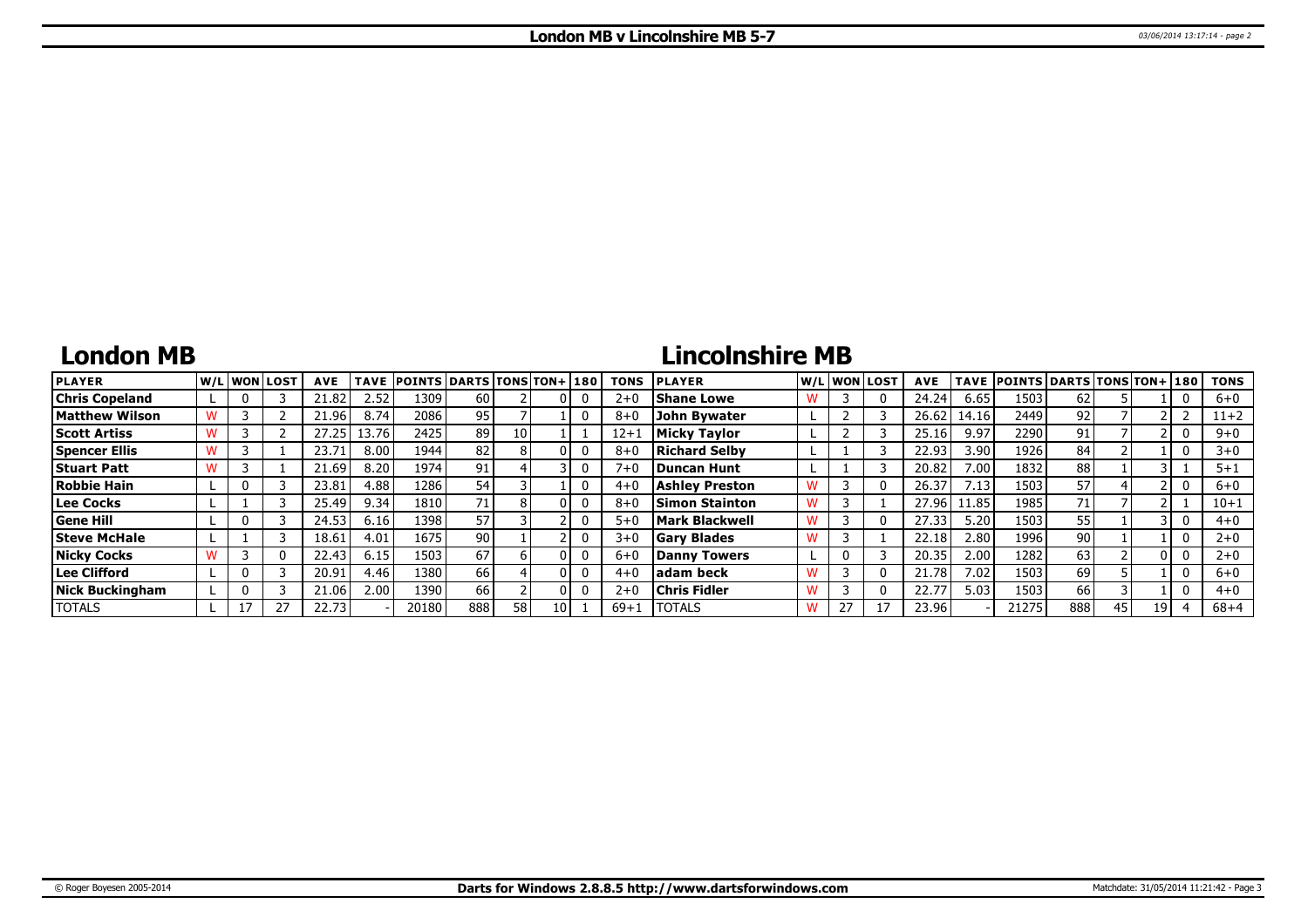## **London MB**

# **Lincolnshire MB**

| <b>PLAYER</b>          |  | lw/Llwonllost | <b>AVE</b> | <b>TAVE</b> | <b>POINTS DARTS TONS TON+130</b> |     |    |  | <b>TONS</b> | <b>PLAYER</b>         |  | W/L WON LOST | <b>AVE</b> |       | TAVE POINTS DARTS TONS TON+ 180 |                 |    |      | <b>TONS</b> |
|------------------------|--|---------------|------------|-------------|----------------------------------|-----|----|--|-------------|-----------------------|--|--------------|------------|-------|---------------------------------|-----------------|----|------|-------------|
| <b>Chris Copeland</b>  |  |               | 21.82      | 2.52        | 1309                             | 60  |    |  | $2 + 0$     | <b>Shane Lowe</b>     |  |              | 24.24      | 6.65  | 1503                            | 62              |    |      | $6 + 0$     |
| <b>Matthew Wilson</b>  |  |               | .96        | 8.74        | 2086 l                           | 95  |    |  | $8 + C$     | <b>John Bywater</b>   |  |              | 26.62      | 14.16 | 2449                            | 92 <sub>1</sub> |    |      | $11+2$      |
| <b>Scott Artiss</b>    |  |               | 27.25      | 13.76       | 2425                             | 89  | 10 |  | $12 + 1$    | Micky Taylor          |  |              | 25.16      | 9.97  | 2290                            | 91              |    |      | $9 + 0$     |
| <b>Spencer Ellis</b>   |  |               | 23.71      | 8.00        | 1944                             | 82  |    |  | $8 + C$     | <b>Richard Selby</b>  |  |              | 22.93      | 3.90  | 1926                            | 84              |    |      | $3 + 0$     |
| <b>Stuart Patt</b>     |  |               | 21.69      | 8.20        | 1974                             | 91  |    |  | $7 + 0$     | <b>IDuncan Hunt</b>   |  |              | 20.82      | 7.00  | 1832                            | 88              |    |      | $5 + 1$     |
| <b>Robbie Hain</b>     |  |               | 23.81      | 4.88        | 1286 l                           | 54  |    |  | $4 + 0$     | <b>Ashley Preston</b> |  |              | 26.37      | 7.13  | 1503                            | 57              |    |      | $6 + 0$     |
| Lee Cocks              |  |               | 25.49      | 9.34        | 1810 l                           | 71  |    |  | $8 + C$     | Simon Stainton        |  |              | 27.96      | 11.85 | 1985                            | 71              |    |      | $10 + 1$    |
| <b>Gene Hill</b>       |  |               | 24.53      | 6.16        | 1398                             | 57  |    |  | $5 + C$     | <b>Mark Blackwell</b> |  |              | 27.33      | 5.20  | 1503                            | 55              |    |      | $4 + 0$     |
| <b>Steve McHale</b>    |  |               | 18.61      | 4.01        | 1675                             | 90  |    |  | $3 + 0$     | <b>Gary Blades</b>    |  |              | 22.18      | 2.80  | 1996                            | 90              |    |      | $2 + 0$     |
| <b>Nicky Cocks</b>     |  | 0             | 22.43      | 6.15        | 1503                             | 67  |    |  | $6 + 0$     | Danny Towers          |  |              | 20.35      | 2.00  | 1282                            | 63              |    |      | $2 + 0$     |
| Lee Clifford           |  |               | 20.91      | 4.46        | 1380 l                           | 66  |    |  | $4 + C$     | ladam beck            |  |              | 21.78      | 7.02  | 1503                            | 69              |    |      | $6 + 0$     |
| <b>Nick Buckingham</b> |  |               | 21.06      | 2.00        | 1390                             | 66  |    |  | $2 + 0$     | <b>Chris Fidler</b>   |  |              | 22.77      | 5.03  | 1503                            | 66              |    |      | $4 + 0$     |
| <b>TOTALS</b>          |  |               | 22.73      |             | 20180                            | 888 | 58 |  | $69+1$      | <b>TOTALS</b>         |  |              | 23.96      |       | 21275                           | 888             | 45 | 19 I | $68 + 4$    |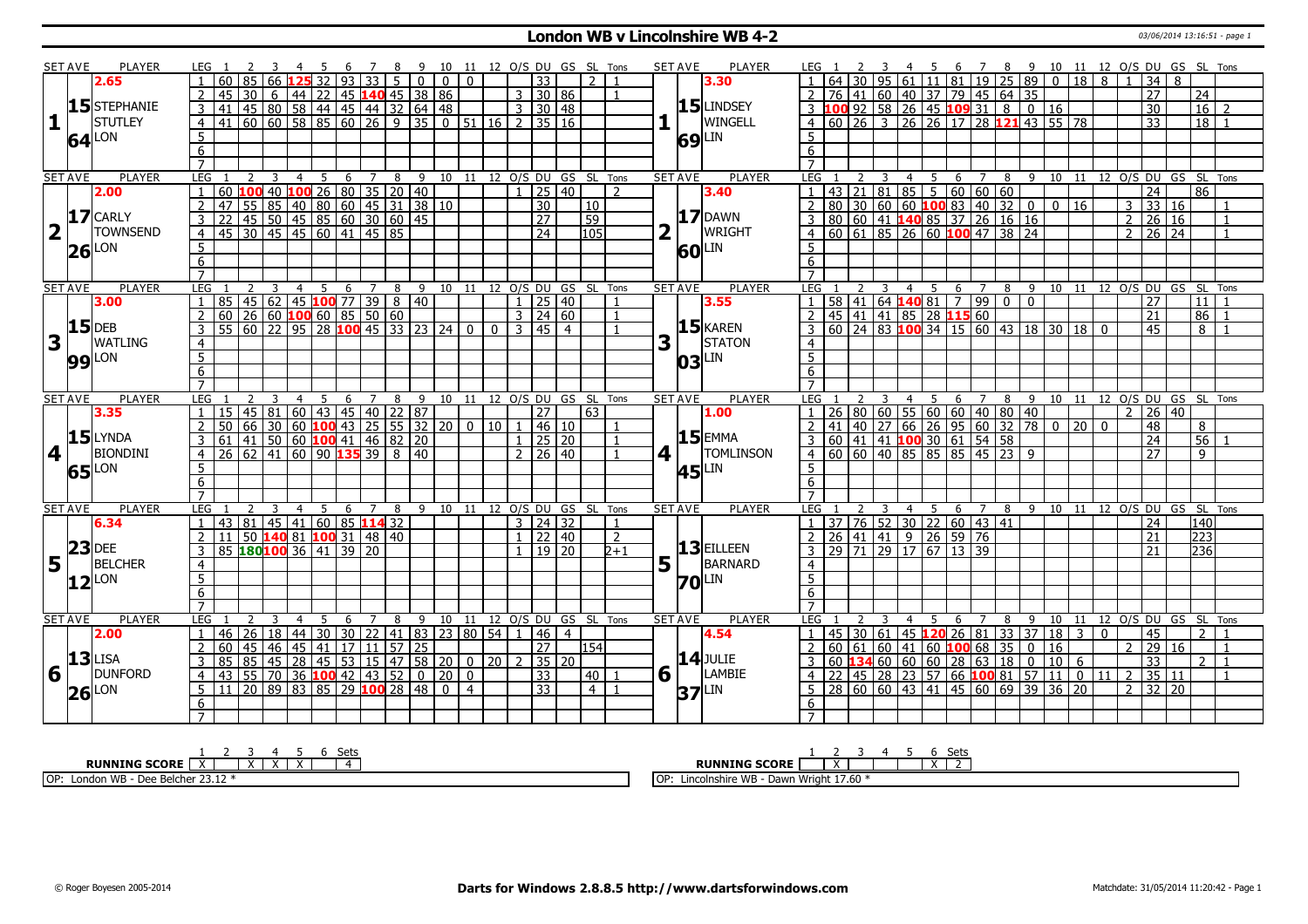### **London WB v Lincolnshire WB 4-2** 03/06/2014 13:16:51 - page 1

|                 | SET AVE        | PLAYER                          | LEG 1               |    |                 |                                             |                      |                         |                      |                 | - 9                                                                                                                     |                | 10 11 12 O/S DU GS SL Tons   |                  |                     |              |                              |                |   | <b>PLAYER</b><br><b>SET AVE</b>   |                                                                                                                                         |                      |                                                                                             |                |                          | 6                   |     |                |                                                                                                  |                |              |              |      |                                  | 7 8 9 10 11 12 0/S DU GS SL Tons   |                |
|-----------------|----------------|---------------------------------|---------------------|----|-----------------|---------------------------------------------|----------------------|-------------------------|----------------------|-----------------|-------------------------------------------------------------------------------------------------------------------------|----------------|------------------------------|------------------|---------------------|--------------|------------------------------|----------------|---|-----------------------------------|-----------------------------------------------------------------------------------------------------------------------------------------|----------------------|---------------------------------------------------------------------------------------------|----------------|--------------------------|---------------------|-----|----------------|--------------------------------------------------------------------------------------------------|----------------|--------------|--------------|------|----------------------------------|------------------------------------|----------------|
|                 |                | 2.65                            |                     | 60 |                 | 66                                          |                      | $\overline{93}$         |                      | $\overline{33}$ | $\overline{0}$<br>$5-1$                                                                                                 | $\overline{0}$ | $\mathbf{0}$                 |                  | 33                  |              | $\overline{2}$               |                |   | 3.30                              |                                                                                                                                         |                      |                                                                                             |                | 61 11 81 19 25 89        |                     |     |                | $\mathbf{0}$                                                                                     | 18             |              | 8            |      | $\overline{34}$                  | 8                                  |                |
|                 |                |                                 | $\overline{2}$      | 45 | $\overline{30}$ | 6                                           |                      |                         |                      |                 | 44 22 45 140 45 38 86                                                                                                   |                |                              |                  | 3   30   86         |              |                              |                |   |                                   | <sup>2</sup>                                                                                                                            |                      | 76 41 60 40 37 79 45 64 35                                                                  |                |                          |                     |     |                |                                                                                                  |                |              |              |      | $\overline{27}$                  | 24                                 |                |
|                 |                | $15$ STEPHANIE                  |                     |    |                 |                                             |                      |                         |                      |                 |                                                                                                                         |                |                              |                  |                     |              |                              |                |   | 15 LINDSEY                        | 3 100 92 58 26 45 109 31 8 0 16<br>4 60 26 3 26 26 17 28 121 43 55 78                                                                   |                      |                                                                                             |                |                          |                     |     |                |                                                                                                  |                |              |              |      | 30                               | 16 <sup>1</sup>                    | $\overline{z}$ |
| 1               |                | <b>STUTLEY</b>                  |                     |    |                 |                                             |                      |                         |                      |                 | <u>3</u> 41 45 80 58 44 45 44 32 64 48 33 30 48<br>4 41 60 60 58 85 60 26 9 35 0 51 16 2 35 16                          |                |                              |                  |                     |              |                              |                |   | WINGELL                           |                                                                                                                                         |                      |                                                                                             |                |                          |                     |     |                |                                                                                                  |                |              |              |      | $\overline{33}$                  |                                    | $18$   1       |
|                 |                |                                 | 5                   |    |                 |                                             |                      |                         |                      |                 |                                                                                                                         |                |                              |                  |                     |              |                              |                |   | LIN                               | 5                                                                                                                                       |                      |                                                                                             |                |                          |                     |     |                |                                                                                                  |                |              |              |      |                                  |                                    |                |
|                 |                | $64$ <sup>LON</sup>             | 6                   |    |                 |                                             |                      |                         |                      |                 |                                                                                                                         |                |                              |                  |                     |              |                              |                |   | 69                                | 6                                                                                                                                       |                      |                                                                                             |                |                          |                     |     |                |                                                                                                  |                |              |              |      |                                  |                                    |                |
|                 |                |                                 | $\overline{7}$      |    |                 |                                             |                      |                         |                      |                 |                                                                                                                         |                |                              |                  |                     |              |                              |                |   |                                   | $\overline{7}$                                                                                                                          |                      |                                                                                             |                |                          |                     |     |                |                                                                                                  |                |              |              |      |                                  |                                    |                |
|                 | <b>SET AVE</b> | <b>PLAYER</b>                   | <b>LEG</b>          |    | 2               | 3                                           | 5<br>$\overline{4}$  | 6                       | $7\overline{ }$      | 8               |                                                                                                                         |                | 9 10 11 12 O/S DU GS SL Tons |                  |                     |              |                              |                |   | <b>PLAYER</b><br><b>SET AVE</b>   | LEG <sub>1</sub>                                                                                                                        |                      | 3                                                                                           | $\overline{4}$ | $5^{\circ}$              |                     |     |                |                                                                                                  |                |              |              |      |                                  | 6 7 8 9 10 11 12 0/S DU GS SL Tons |                |
|                 |                | 2.00                            | $\overline{1}$      |    |                 |                                             |                      |                         |                      |                 |                                                                                                                         |                |                              |                  | $1$   25   40       |              |                              | $\overline{2}$ |   | 3.40                              |                                                                                                                                         |                      |                                                                                             |                |                          |                     |     |                |                                                                                                  |                |              |              |      | $\overline{24}$                  | 86                                 |                |
|                 |                |                                 | $\overline{2}$      |    |                 |                                             |                      |                         |                      |                 |                                                                                                                         |                |                              |                  | $\overline{30}$     |              | $ 10\rangle$                 |                |   |                                   | $\overline{2}$                                                                                                                          |                      |                                                                                             |                |                          |                     |     |                |                                                                                                  | $0 \mid 16$    |              |              |      | $3 \overline{)33 \overline{)16}$ |                                    | $\overline{1}$ |
|                 |                | $17$ CARLY                      |                     |    |                 |                                             |                      |                         |                      |                 | 160 100 40 100 26 80 35 20 40<br>47 55 85 40 80 60 45 31 38 10<br>22 45 50 45 85 60 30 60 45<br>45 30 45 45 60 41 45 85 |                |                              |                  | $\overline{27}$     |              | 59                           |                |   | <b>17</b> DAWN                    | 43 21 81 85 5 60 60 60<br>80 30 60 60 <b>100</b> 83 40 32 0<br>80 60 41 <b>140</b> 85 37 26 16 16<br>60 61 85 26 60 <b>100</b> 47 38 24 |                      |                                                                                             |                |                          |                     |     |                |                                                                                                  |                |              |              |      | 2   26   16                      |                                    | $\overline{1}$ |
| 2 <sup>T</sup>  |                | <b>TOWNSEND</b>                 | $\overline{4}$      |    |                 |                                             |                      |                         |                      |                 |                                                                                                                         |                |                              |                  | $\overline{24}$     |              | 105                          |                |   | WRIGHT                            | $\overline{4}$                                                                                                                          |                      |                                                                                             |                |                          |                     |     |                |                                                                                                  |                |              |              |      | 2   26   24                      |                                    | $\overline{1}$ |
|                 |                |                                 |                     |    |                 |                                             |                      |                         |                      |                 |                                                                                                                         |                |                              |                  |                     |              |                              |                |   |                                   | 5                                                                                                                                       |                      |                                                                                             |                |                          |                     |     |                |                                                                                                  |                |              |              |      |                                  |                                    |                |
|                 |                | $26$ <sup>LON</sup>             | $\overline{5}$      |    |                 |                                             |                      |                         |                      |                 |                                                                                                                         |                |                              |                  |                     |              |                              |                |   | LIN<br>60                         |                                                                                                                                         |                      |                                                                                             |                |                          |                     |     |                |                                                                                                  |                |              |              |      |                                  |                                    |                |
|                 |                |                                 | 6<br>$\overline{7}$ |    |                 |                                             |                      |                         |                      |                 |                                                                                                                         |                |                              |                  |                     |              |                              |                |   |                                   | 6                                                                                                                                       |                      |                                                                                             |                |                          |                     |     |                |                                                                                                  |                |              |              |      |                                  |                                    |                |
|                 |                | <b>PLAYER</b>                   | LEG                 |    |                 | 3                                           | $\overline{4}$       |                         |                      |                 |                                                                                                                         |                |                              |                  |                     |              | GS SL Tons                   |                |   | <b>PLAYER</b>                     | LEG                                                                                                                                     |                      |                                                                                             | $\overline{4}$ |                          | $\overline{7}$      | 8   | $\overline{9}$ |                                                                                                  |                |              |              |      |                                  | 10 11 12 O/S DU GS SL Tons         |                |
|                 | <b>SET AVE</b> | 3.00                            |                     | 85 | 45 62           |                                             |                      | 5<br>6<br>$ 45 $ 100 77 | 7<br>$\overline{39}$ | 8               | 9<br>$8 \mid 40$                                                                                                        |                | 10 11 12 O/S DU              |                  | 25 40               |              |                              |                |   | <b>SET AVE</b><br>3.55            |                                                                                                                                         |                      | 58 41 64 140 81                                                                             |                | - 5                      | 6<br>$\overline{7}$ | 990 | $\overline{0}$ |                                                                                                  |                |              |              |      | $\overline{27}$                  | 11                                 |                |
|                 |                |                                 | 2                   |    |                 |                                             |                      |                         |                      |                 |                                                                                                                         |                |                              |                  | $3 \mid 24 \mid 60$ |              |                              |                |   |                                   | $\overline{2}$                                                                                                                          |                      | 45 41 41 85 28 115 60                                                                       |                |                          |                     |     |                |                                                                                                  |                |              |              |      | $\overline{21}$                  | 86                                 | $\overline{1}$ |
|                 |                | $15$ DEB                        | $\overline{3}$      |    |                 |                                             |                      |                         |                      |                 | 0 26 60 <b>100</b> 60 85 50 60<br>55 60 22 95 28 <b>100</b> 45 33 23 24 0                                               |                |                              | $0 \ 3 \ 45 \ 4$ |                     |              |                              |                |   | $15$ <b>KAREN</b>                 | $\overline{3}$                                                                                                                          |                      |                                                                                             |                |                          |                     |     |                | $\frac{13}{60}$ 24 83 100 34 15 60 43 18 30 18 0                                                 |                |              |              |      | 45                               |                                    | $8\sqrt{1}$    |
|                 | $3\sqrt{1}$    | <b>WATLING</b>                  | $\overline{4}$      |    |                 |                                             |                      |                         |                      |                 |                                                                                                                         |                |                              |                  |                     |              |                              |                | 3 | <b>STATON</b>                     |                                                                                                                                         |                      |                                                                                             |                |                          |                     |     |                |                                                                                                  |                |              |              |      |                                  |                                    |                |
|                 |                |                                 |                     |    |                 |                                             |                      |                         |                      |                 |                                                                                                                         |                |                              |                  |                     |              |                              |                |   |                                   | $\overline{4}$<br>5                                                                                                                     |                      |                                                                                             |                |                          |                     |     |                |                                                                                                  |                |              |              |      |                                  |                                    |                |
|                 |                | <b>99</b> LON                   | $\overline{5}$      |    |                 |                                             |                      |                         |                      |                 |                                                                                                                         |                |                              |                  |                     |              |                              |                |   | <b>LIN</b><br>03                  |                                                                                                                                         |                      |                                                                                             |                |                          |                     |     |                |                                                                                                  |                |              |              |      |                                  |                                    |                |
|                 |                |                                 | 6<br>$\overline{7}$ |    |                 |                                             |                      |                         |                      |                 |                                                                                                                         |                |                              |                  |                     |              |                              |                |   |                                   | 6<br>$\overline{7}$                                                                                                                     |                      |                                                                                             |                |                          |                     |     |                |                                                                                                  |                |              |              |      |                                  |                                    |                |
|                 | <b>SET AVE</b> | <b>PLAYER</b>                   | <b>LEG</b>          |    |                 |                                             | $\overline{4}$<br>-5 |                         | $\overline{7}$       |                 |                                                                                                                         |                | 9 10 11 12 0/S DU GS SL Tons |                  |                     |              |                              |                |   | <b>SET AVE</b><br><b>PLAYER</b>   | LEG <sub>1</sub>                                                                                                                        |                      |                                                                                             | $\overline{4}$ |                          |                     |     |                |                                                                                                  |                |              |              |      |                                  | 6 7 8 9 10 11 12 0/S DU GS SL Tons |                |
|                 |                | 3.35                            | $\overline{1}$      |    |                 |                                             |                      | 6                       |                      | 8               | 15   45   81   60   43   45   40   22   87                                                                              |                |                              |                  | 27                  |              | 63                           |                |   | 1.00                              | l 1                                                                                                                                     |                      |                                                                                             |                | 5                        |                     |     |                |                                                                                                  |                |              |              |      | 2   26   40                      |                                    |                |
|                 |                |                                 | $\overline{2}$      | 50 |                 |                                             |                      |                         |                      |                 | $\frac{1}{66}$ 30 60 100 43 25 55 32 20 0 10                                                                            |                |                              |                  | 46 10               |              |                              |                |   |                                   |                                                                                                                                         |                      |                                                                                             |                |                          |                     |     |                | 26   80   60   55   60   60   40   80   40  <br>  41   40   27   66   26   95   60   32   78   0 | 20             |              | $\Omega$     |      | 48                               | 8                                  |                |
|                 |                | $15$ LYNDA                      | 3                   |    |                 |                                             |                      |                         |                      |                 | 61   41   50   60 <b>100</b>   41   46   82   20                                                                        |                |                              | $\mathbf{1}$     | $\sqrt{25}$ 20      |              |                              |                |   | $15$ EMMA                         |                                                                                                                                         |                      | 60 41 41 100 30 61 54 58                                                                    |                |                          |                     |     |                |                                                                                                  |                |              |              |      | 24                               | $\overline{56}$                    |                |
| 4 <sup>1</sup>  |                | <b>BIONDINI</b>                 | $\overline{4}$      |    |                 | $26 \mid 62 \mid 41 \mid 60 \mid 90$ 135 39 |                      |                         |                      |                 | $8 \mid 40$                                                                                                             |                |                              |                  | $2 \mid 26 \mid 40$ |              |                              |                | 4 | <b>TOMLINSON</b>                  | $\overline{4}$                                                                                                                          |                      | 60 60 40 85 85 85 45 23 9                                                                   |                |                          |                     |     |                |                                                                                                  |                |              |              |      | $\overline{27}$                  | $\overline{q}$                     |                |
|                 |                |                                 | $\overline{5}$      |    |                 |                                             |                      |                         |                      |                 |                                                                                                                         |                |                              |                  |                     |              |                              |                |   | LIN                               | 5                                                                                                                                       |                      |                                                                                             |                |                          |                     |     |                |                                                                                                  |                |              |              |      |                                  |                                    |                |
|                 |                | $65$ <sup>LON</sup>             | $6\overline{6}$     |    |                 |                                             |                      |                         |                      |                 |                                                                                                                         |                |                              |                  |                     |              |                              |                |   | 45                                | 6                                                                                                                                       |                      |                                                                                             |                |                          |                     |     |                |                                                                                                  |                |              |              |      |                                  |                                    |                |
|                 |                |                                 | $\overline{7}$      |    |                 |                                             |                      |                         |                      |                 |                                                                                                                         |                |                              |                  |                     |              |                              |                |   |                                   |                                                                                                                                         |                      |                                                                                             |                |                          |                     |     |                |                                                                                                  |                |              |              |      |                                  |                                    |                |
|                 | <b>SET AVE</b> | PLAYER                          | <b>LEG</b>          |    |                 |                                             | $\overline{4}$       |                         |                      |                 |                                                                                                                         |                |                              |                  |                     |              |                              |                |   |                                   |                                                                                                                                         |                      |                                                                                             |                |                          |                     |     |                |                                                                                                  |                |              |              |      |                                  | 8 9 10 11 12 0/S DU GS SL Tons     |                |
|                 |                |                                 |                     |    |                 |                                             |                      |                         |                      |                 |                                                                                                                         |                |                              |                  |                     |              |                              |                |   |                                   |                                                                                                                                         |                      |                                                                                             |                |                          |                     |     |                |                                                                                                  |                |              |              |      |                                  | 140                                |                |
|                 |                |                                 |                     |    | 2               |                                             |                      | 5                       | 6                    | 7<br>8          |                                                                                                                         |                |                              |                  |                     |              | 9 10 11 12 O/S DU GS SL Tons |                |   | <b>SET AVE</b><br><b>PLAYER</b>   | <b>LEG</b>                                                                                                                              |                      |                                                                                             | $\overline{4}$ | 5                        | 6<br>$\overline{z}$ |     |                |                                                                                                  |                |              |              |      |                                  |                                    |                |
|                 |                | 6.34                            | $\mathbf{1}$        |    |                 | 43 81 45 41 60 85 114 32                    |                      |                         |                      |                 |                                                                                                                         |                |                              |                  | 3   24   32         |              |                              | 1              |   |                                   |                                                                                                                                         |                      | 37 76 52 30 22 60 43 41                                                                     |                |                          |                     |     |                |                                                                                                  |                |              |              |      | 24                               |                                    |                |
|                 |                |                                 | $\overline{2}$      | 11 |                 | 50   140   81   100   31   48   40          |                      |                         |                      |                 |                                                                                                                         |                |                              |                  | $1 \mid 22 \mid 40$ |              |                              | $\overline{2}$ |   |                                   |                                                                                                                                         |                      |                                                                                             |                |                          |                     |     |                |                                                                                                  |                |              |              |      | 21                               | 223                                |                |
|                 |                | $23$ DEE                        | 3                   |    |                 | 85 180100 36 41 39 20                       |                      |                         |                      |                 |                                                                                                                         |                |                              |                  | $1 \mid 19 \mid 20$ |              |                              | b+1            |   | $13$ EILLEEN                      | 26 41 41 9 26 59 76<br>29 71 29 17 67 13 39<br>$\overline{3}$                                                                           |                      |                                                                                             |                |                          |                     |     |                |                                                                                                  |                |              |              |      | 21                               | 236                                |                |
| $5\overline{1}$ |                | <b>BELCHER</b>                  | $\overline{4}$      |    |                 |                                             |                      |                         |                      |                 |                                                                                                                         |                |                              |                  |                     |              |                              |                |   | $5\vert \bar{1} \vert$<br>BARNARD | $\overline{4}$                                                                                                                          |                      |                                                                                             |                |                          |                     |     |                |                                                                                                  |                |              |              |      |                                  |                                    |                |
|                 | 12             | _ON                             | 5                   |    |                 |                                             |                      |                         |                      |                 |                                                                                                                         |                |                              |                  |                     |              |                              |                |   | LIN<br><b>70</b>                  | 5                                                                                                                                       |                      |                                                                                             |                |                          |                     |     |                |                                                                                                  |                |              |              |      |                                  |                                    |                |
|                 |                |                                 | 6                   |    |                 |                                             |                      |                         |                      |                 |                                                                                                                         |                |                              |                  |                     |              |                              |                |   |                                   | 6                                                                                                                                       |                      |                                                                                             |                |                          |                     |     |                |                                                                                                  |                |              |              |      |                                  |                                    |                |
|                 |                |                                 | $\overline{7}$      |    |                 |                                             |                      |                         |                      |                 |                                                                                                                         |                |                              |                  |                     |              |                              |                |   |                                   | $\overline{7}$                                                                                                                          |                      |                                                                                             |                |                          |                     |     |                |                                                                                                  |                |              |              |      |                                  |                                    |                |
|                 | <b>SET AVE</b> | PLAYER                          | <b>LEG</b>          |    |                 |                                             |                      | 6                       |                      | 8               | 9                                                                                                                       |                | 10 11 12 0/S DU GS SL Tons   |                  |                     |              |                              |                |   | PLAYER<br><b>SET AVE</b>          | LEG                                                                                                                                     |                      |                                                                                             |                |                          | 6                   | 8   | 9              |                                                                                                  |                |              |              |      |                                  | 10 11 12 O/S DU GS SL Tons         |                |
|                 |                | 2.00                            | 1                   | 46 | 26              | 18                                          |                      | 44 30 30                |                      |                 | 22   41   83   23   80   54                                                                                             |                |                              |                  | 46 4                |              |                              |                |   | 4.54                              |                                                                                                                                         | $45 \mid 30 \mid 61$ |                                                                                             |                | $145$ 120 26             |                     |     | 81 33 37       | 18                                                                                               | $\overline{3}$ |              | $\mathbf{0}$ |      | $\overline{45}$                  | 2 <sup>1</sup>                     | $\overline{1}$ |
|                 |                |                                 | $\overline{2}$      | 60 | 45              | 45<br>46                                    | $\overline{141}$     | $\overline{17}$         |                      | 11              | 57 25                                                                                                                   |                |                              |                  | $\overline{27}$     |              | 154                          |                |   |                                   |                                                                                                                                         |                      | 60 61 60 41                                                                                 |                | $\boxed{60}$ 100 68 35 0 |                     |     |                | 16                                                                                               |                |              |              | 2 29 |                                  | 16                                 | $\overline{1}$ |
|                 |                |                                 | $\overline{3}$      | 85 | 85              | $\overline{28}$<br>45                       |                      | 45 53                   |                      |                 | $15$   47   58   20   0   20                                                                                            |                |                              | $\mathcal{D}$    |                     | $35 \mid 20$ |                              |                |   | $14$ JULIE                        |                                                                                                                                         |                      | $\overline{60}$ 134 $\overline{60}$ $\overline{60}$ $\overline{60}$ 28 $\overline{63}$ 18 0 |                |                          |                     |     |                | 10                                                                                               | - 6            |              |              |      | $\overline{33}$                  | 2 <sup>1</sup>                     | $\overline{1}$ |
|                 |                | $6\frac{13}{1}$ DUNE<br>DUNFORD | $\overline{4}$      | 43 | 55              | $\overline{70}$<br>36                       |                      | $100$ 42                | 43                   | 52              |                                                                                                                         | $0 \mid 20$    | $\mathbf{0}$                 |                  | 33                  |              | 40 l                         |                | 6 | <b>LAMBIE</b>                     | 22                                                                                                                                      | 45                   | 28 23 57 66 100 81 57                                                                       |                |                          |                     |     |                | 11                                                                                               |                | $\mathbf{0}$ | 11           | 2    | 35 11                            |                                    |                |
|                 |                |                                 | $5\overline{)}$     | 11 |                 |                                             |                      |                         |                      |                 | 20 89 83 85 29 100 28 48                                                                                                | $\overline{0}$ | $\overline{4}$               |                  | $\overline{33}$     |              | 4 <sup>1</sup>               |                |   | LIN<br>37 <sup>′</sup>            | 5                                                                                                                                       |                      |                                                                                             |                |                          |                     |     |                | 28 60 60 43 41 45 60 69 39 36 20                                                                 |                |              |              |      | $2 \mid 32 \mid 20$              |                                    |                |
|                 |                | $26$ <sup>LON</sup>             | 6                   |    |                 |                                             |                      |                         |                      |                 |                                                                                                                         |                |                              |                  |                     |              |                              |                |   |                                   | 6                                                                                                                                       |                      |                                                                                             |                |                          |                     |     |                |                                                                                                  |                |              |              |      |                                  |                                    |                |

| Sets                                                                    | Set:                                                                                              |
|-------------------------------------------------------------------------|---------------------------------------------------------------------------------------------------|
| <b>SCORE</b><br>RUNNING<br>. .<br>$\overline{\phantom{a}}$              | <b>RUNNING SCORE</b><br>$\lambda$<br>$\lambda$                                                    |
| OP:<br>MIR<br>$\Gamma$<br>e Belcher .<br>Lonaon<br>v<br>כו שיו<br>23.12 | $\sim$ $\sim$<br>l∩d<br>ı Wriaht 17.60<br>™e WB<br>Dawn<br>Lince <sub>1</sub><br>:oinshire<br>⊥∪ा |